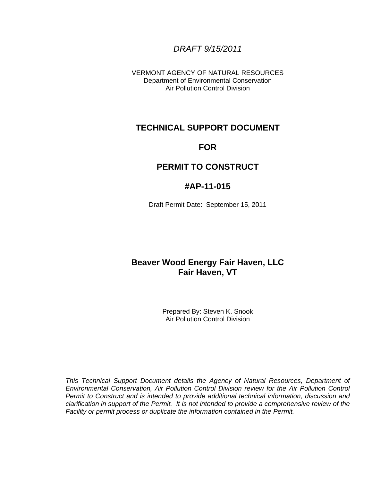# *DRAFT 9/15/2011*

VERMONT AGENCY OF NATURAL RESOURCES Department of Environmental Conservation Air Pollution Control Division

# **TECHNICAL SUPPORT DOCUMENT**

# **FOR**

# **PERMIT TO CONSTRUCT**

# **#AP-11-015**

Draft Permit Date: September 15, 2011

# **Beaver Wood Energy Fair Haven, LLC Fair Haven, VT**

Prepared By: Steven K. Snook Air Pollution Control Division

*This Technical Support Document details the Agency of Natural Resources, Department of Environmental Conservation, Air Pollution Control Division review for the Air Pollution Control Permit to Construct and is intended to provide additional technical information, discussion and clarification in support of the Permit. It is not intended to provide a comprehensive review of the Facility or permit process or duplicate the information contained in the Permit.*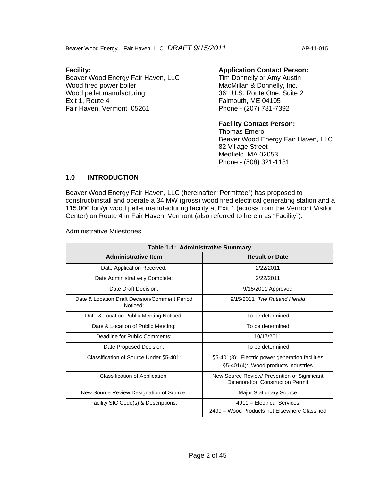Beaver Wood Energy – Fair Haven, LLC DRAFT 9/15/2011 AP-11-015

# **Facility:**

Beaver Wood Energy Fair Haven, LLC Wood fired power boiler Wood pellet manufacturing Exit 1, Route 4 Fair Haven, Vermont 05261

# **Application Contact Person:**

Tim Donnelly or Amy Austin MacMillan & Donnelly, Inc. 361 U.S. Route One, Suite 2 Falmouth, ME 04105 Phone - (207) 781-7392

### **Facility Contact Person:**

Thomas Emero Beaver Wood Energy Fair Haven, LLC 82 Village Street Medfield, MA 02053 Phone - (508) 321-1181

# **1.0 INTRODUCTION**

Beaver Wood Energy Fair Haven, LLC (hereinafter "Permittee") has proposed to construct/install and operate a 34 MW (gross) wood fired electrical generating station and a 115,000 ton/yr wood pellet manufacturing facility at Exit 1 (across from the Vermont Visitor Center) on Route 4 in Fair Haven, Vermont (also referred to herein as "Facility").

Administrative Milestones

| Table 1-1: Administrative Summary                         |                                                                                        |  |  |  |  |
|-----------------------------------------------------------|----------------------------------------------------------------------------------------|--|--|--|--|
| <b>Administrative Item</b>                                | <b>Result or Date</b>                                                                  |  |  |  |  |
| Date Application Received:                                | 2/22/2011                                                                              |  |  |  |  |
| Date Administratively Complete:                           | 2/22/2011                                                                              |  |  |  |  |
| Date Draft Decision:                                      | 9/15/2011 Approved                                                                     |  |  |  |  |
| Date & Location Draft Decision/Comment Period<br>Noticed: | 9/15/2011 The Rutland Herald                                                           |  |  |  |  |
| Date & Location Public Meeting Noticed:                   | To be determined                                                                       |  |  |  |  |
| Date & Location of Public Meeting:                        | To be determined                                                                       |  |  |  |  |
| Deadline for Public Comments:                             | 10/17/2011                                                                             |  |  |  |  |
| Date Proposed Decision:                                   | To be determined                                                                       |  |  |  |  |
| Classification of Source Under §5-401:                    | §5-401(3): Electric power generation facilities<br>§5-401(4): Wood products industries |  |  |  |  |
| Classification of Application:                            | New Source Review/ Prevention of Significant<br>Deterioration Construction Permit      |  |  |  |  |
| New Source Review Designation of Source:                  | <b>Major Stationary Source</b>                                                         |  |  |  |  |
| Facility SIC Code(s) & Descriptions:                      | 4911 - Electrical Services<br>2499 – Wood Products not Elsewhere Classified            |  |  |  |  |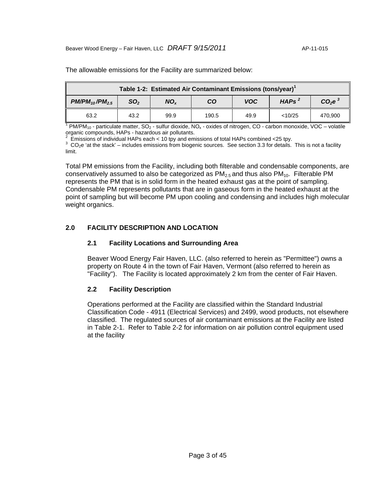| Table 1-2: Estimated Air Contaminant Emissions (tons/year) <sup>1</sup>                                                         |      |      |       |      |         |         |
|---------------------------------------------------------------------------------------------------------------------------------|------|------|-------|------|---------|---------|
| CO <sub>2</sub> e <sup>3</sup><br>HAPs <sup>2</sup><br><b>VOC</b><br>$PM/PM_{10}/PM_{2.5}$<br>SO <sub>2</sub><br>CO<br>$NO_{x}$ |      |      |       |      |         |         |
| 63.2                                                                                                                            | 43.2 | 99.9 | 190.5 | 49.9 | < 10/25 | 470.900 |

The allowable emissions for the Facility are summarized below:

<sup>1</sup> PM/PM<sub>10</sub> - particulate matter, SO<sub>2</sub> - sulfur dioxide, NO<sub>x</sub> - oxides of nitrogen, CO - carbon monoxide, VOC – volatile organic compounds, HAPs - hazardous air pollutants.<br><sup>2</sup>. Emissions of individual HADs soch + 10 tou and ami

Emissions of individual HAPs each < 10 tpy and emissions of total HAPs combined <25 tpy.

 $3$  CO<sub>2</sub>e 'at the stack' – includes emissions from biogenic sources. See section 3.3 for details. This is not a facility limit.

Total PM emissions from the Facility, including both filterable and condensable components, are conservatively assumed to also be categorized as  $PM_{2.5}$  and thus also  $PM_{10}$ . Filterable PM represents the PM that is in solid form in the heated exhaust gas at the point of sampling. Condensable PM represents pollutants that are in gaseous form in the heated exhaust at the point of sampling but will become PM upon cooling and condensing and includes high molecular weight organics.

# **2.0 FACILITY DESCRIPTION AND LOCATION**

# **2.1 Facility Locations and Surrounding Area**

Beaver Wood Energy Fair Haven, LLC. (also referred to herein as "Permittee") owns a property on Route 4 in the town of Fair Haven, Vermont (also referred to herein as "Facility"). The Facility is located approximately 2 km from the center of Fair Haven.

# **2.2 Facility Description**

Operations performed at the Facility are classified within the Standard Industrial Classification Code - 4911 (Electrical Services) and 2499, wood products, not elsewhere classified. The regulated sources of air contaminant emissions at the Facility are listed in Table 2-1. Refer to Table 2-2 for information on air pollution control equipment used at the facility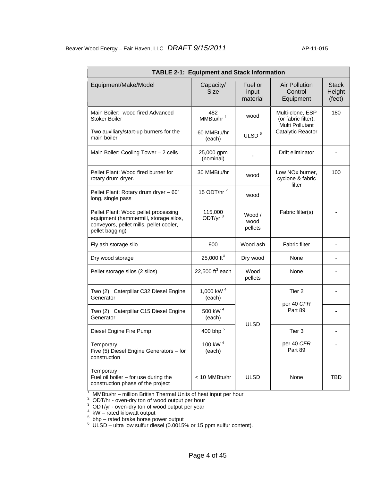| <b>TABLE 2-1: Equipment and Stack Information</b>                                                                                           |                                 |                              |                                                            |                                  |  |  |  |  |
|---------------------------------------------------------------------------------------------------------------------------------------------|---------------------------------|------------------------------|------------------------------------------------------------|----------------------------------|--|--|--|--|
| Equipment/Make/Model                                                                                                                        | Capacity/<br><b>Size</b>        | Fuel or<br>input<br>material | <b>Air Pollution</b><br>Control<br>Equipment               | <b>Stack</b><br>Height<br>(feet) |  |  |  |  |
| Main Boiler: wood fired Advanced<br>Stoker Boiler                                                                                           | 482<br>MMBtu/hr <sup>1</sup>    | wood                         | Multi-clone, ESP<br>(or fabric filter),<br>Multi Pollutant | 180                              |  |  |  |  |
| Two auxiliary/start-up burners for the<br>main boiler                                                                                       | 60 MMBtu/hr<br>(each)           | ULSD <sup>6</sup>            | Catalytic Reactor                                          |                                  |  |  |  |  |
| Main Boiler: Cooling Tower - 2 cells                                                                                                        | 25,000 gpm<br>(nominal)         |                              | Drift eliminator                                           |                                  |  |  |  |  |
| Pellet Plant: Wood fired burner for<br>rotary drum dryer.                                                                                   | 30 MMBtu/hr                     | wood                         | Low NOx burner,<br>cyclone & fabric<br>filter              | 100                              |  |  |  |  |
| Pellet Plant: Rotary drum dryer - 60'<br>long, single pass                                                                                  | 15 ODT/hr <sup>2</sup>          | wood                         |                                                            |                                  |  |  |  |  |
| Pellet Plant: Wood pellet processing<br>equipment (hammermill, storage silos,<br>conveyors, pellet mills, pellet cooler,<br>pellet bagging) | 115,000<br>ODT/yr $3$           | Wood /<br>wood<br>pellets    | Fabric filter(s)                                           |                                  |  |  |  |  |
| Fly ash storage silo                                                                                                                        | 900                             | Wood ash                     | <b>Fabric filter</b>                                       |                                  |  |  |  |  |
| Dry wood storage                                                                                                                            | 25,000 ft <sup>3</sup>          | Dry wood                     | None                                                       |                                  |  |  |  |  |
| Pellet storage silos (2 silos)                                                                                                              | 22,500 $\text{ft}^3$ each       | Wood<br>pellets              | None                                                       |                                  |  |  |  |  |
| Two (2): Caterpillar C32 Diesel Engine<br>Generator                                                                                         | 1,000 kW <sup>4</sup><br>(each) |                              | Tier 2<br>per 40 CFR                                       |                                  |  |  |  |  |
| Two (2): Caterpillar C15 Diesel Engine<br>Generator                                                                                         | 500 kW <sup>4</sup><br>(each)   |                              | Part 89                                                    |                                  |  |  |  |  |
| Diesel Engine Fire Pump                                                                                                                     | 400 bhp <sup>5</sup>            | <b>ULSD</b>                  | Tier <sub>3</sub>                                          |                                  |  |  |  |  |
| Temporary<br>Five (5) Diesel Engine Generators - for<br>construction                                                                        | 100 kW <sup>4</sup><br>(each)   |                              | per 40 CFR<br>Part 89                                      |                                  |  |  |  |  |
| Temporary<br>Fuel oil boiler - for use during the<br>construction phase of the project                                                      | < 10 MMBtu/hr                   | <b>ULSD</b>                  | None                                                       | TBD                              |  |  |  |  |

<sup>1</sup> MMBtu/hr – million British Thermal Units of heat input per hour<br>  ${}^{2}$  ODT/hr - oven-dry ton of wood output per hour<br>  ${}^{3}$  ODT/yr - oven-dry ton of wood output per year<br>  ${}^{4}$  kW – rated kilowatt output

 $^5\,$  bhp – rated brake horse power output<br> $^6\,$  ULSD – ultra low sulfur diesel (0.0015% or 15 ppm sulfur content).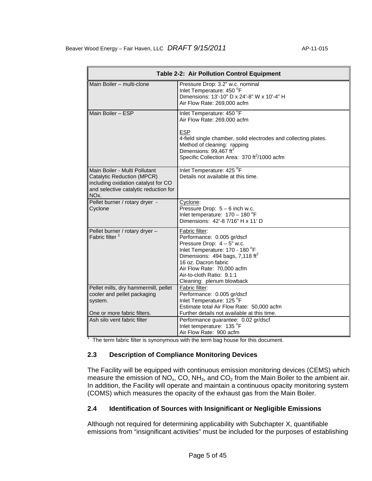| Main Boiler - multi-clone<br>Pressure Drop: 3.2" w.c. nominal<br>Inlet Temperature: 450 °F<br>Dimensions: 13'-10" D x 24'-8" W x 10'-4" H<br>Air Flow Rate: 269,000 acfm<br>Main Boiler - ESP<br>Inlet Temperature: 450 °F<br>Air Flow Rate: 269,000 acfm<br><b>ESP</b><br>4-field single chamber, solid electrodes and collecting plates.<br>Method of cleaning: rapping<br>Dimensions: 99,467 ft <sup>2</sup><br>Specific Collection Area: 370 ft <sup>2</sup> /1000 acfm<br>Inlet Temperature: 425 °F<br>Main Boiler - Multi Pollutant<br>Details not available at this time.<br>Catalytic Reduction (MPCR)<br>including oxidation catalyst for CO<br>and selective catalytic reduction for<br>NOx. |                                | Table 2-2: Air Pollution Control Equipment |
|--------------------------------------------------------------------------------------------------------------------------------------------------------------------------------------------------------------------------------------------------------------------------------------------------------------------------------------------------------------------------------------------------------------------------------------------------------------------------------------------------------------------------------------------------------------------------------------------------------------------------------------------------------------------------------------------------------|--------------------------------|--------------------------------------------|
|                                                                                                                                                                                                                                                                                                                                                                                                                                                                                                                                                                                                                                                                                                        |                                |                                            |
|                                                                                                                                                                                                                                                                                                                                                                                                                                                                                                                                                                                                                                                                                                        |                                |                                            |
|                                                                                                                                                                                                                                                                                                                                                                                                                                                                                                                                                                                                                                                                                                        |                                |                                            |
|                                                                                                                                                                                                                                                                                                                                                                                                                                                                                                                                                                                                                                                                                                        |                                |                                            |
| Pressure Drop: 5 - 6 inch w.c.<br>Cyclone<br>Inlet temperature: $170 - 180$ °F<br>Dimensions: 42'-8 7/16" H x 11' D                                                                                                                                                                                                                                                                                                                                                                                                                                                                                                                                                                                    | Pellet burner / rotary dryer - | Cyclone:                                   |
| Pellet burner / rotary dryer -<br>Fabric filter:<br>Fabric filter <sup>1</sup><br>Performance: 0.005 gr/dscf<br>Pressure Drop: $4 - 5$ " w.c.<br>Inlet Temperature: 170 - 180 °F<br>Dimensions: 494 bags, 7,118 ft <sup>2</sup><br>16 oz. Dacron fabric<br>Air Flow Rate: 70,000 acfm<br>Air-to-cloth Ratio: 9.1:1<br>Cleaning: plenum blowback                                                                                                                                                                                                                                                                                                                                                        |                                |                                            |
| Pellet mills, dry hammermill, pellet<br>Fabric filter:<br>Performance: 0.005 gr/dscf<br>cooler and pellet packaging<br>Inlet Temperature: 125 °F<br>system.<br>Estimate total Air Flow Rate: 50,000 acfm                                                                                                                                                                                                                                                                                                                                                                                                                                                                                               |                                |                                            |
| One or more fabric filters.<br>Further details not available at this time.<br>Ash silo vent fabric filter<br>Performance guarantee: 0.02 gr/dscf<br>Inlet temperature: 135 °F<br>Air Flow Rate: 900 acfm<br>The term fabric filter is synonymous with the term bag house for this document.                                                                                                                                                                                                                                                                                                                                                                                                            |                                |                                            |

# **2.3 Description of Compliance Monitoring Devices**

The Facility will be equipped with continuous emission monitoring devices (CEMS) which measure the emission of  $NO<sub>x</sub>$ , CO,  $NH<sub>3</sub>$ , and CO<sub>2</sub> from the Main Boiler to the ambient air. In addition, the Facility will operate and maintain a continuous opacity monitoring system (COMS) which measures the opacity of the exhaust gas from the Main Boiler.

# **2.4 Identification of Sources with Insignificant or Negligible Emissions**

Although not required for determining applicability with Subchapter X, quantifiable emissions from "insignificant activities" must be included for the purposes of establishing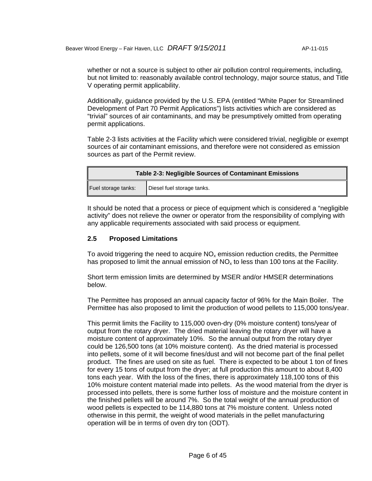whether or not a source is subject to other air pollution control requirements, including, but not limited to: reasonably available control technology, major source status, and Title V operating permit applicability.

Additionally, guidance provided by the U.S. EPA (entitled "White Paper for Streamlined Development of Part 70 Permit Applications") lists activities which are considered as "trivial" sources of air contaminants, and may be presumptively omitted from operating permit applications.

Table 2-3 lists activities at the Facility which were considered trivial, negligible or exempt sources of air contaminant emissions, and therefore were not considered as emission sources as part of the Permit review.

| <b>Table 2-3: Negligible Sources of Contaminant Emissions</b> |                            |  |  |
|---------------------------------------------------------------|----------------------------|--|--|
| Fuel storage tanks:                                           | Diesel fuel storage tanks. |  |  |

It should be noted that a process or piece of equipment which is considered a "negligible activity" does not relieve the owner or operator from the responsibility of complying with any applicable requirements associated with said process or equipment.

### **2.5 Proposed Limitations**

To avoid triggering the need to acquire  $NO<sub>x</sub>$  emission reduction credits, the Permittee has proposed to limit the annual emission of  $NO<sub>x</sub>$  to less than 100 tons at the Facility.

Short term emission limits are determined by MSER and/or HMSER determinations below.

The Permittee has proposed an annual capacity factor of 96% for the Main Boiler. The Permittee has also proposed to limit the production of wood pellets to 115,000 tons/year.

This permit limits the Facility to 115,000 oven-dry (0% moisture content) tons/year of output from the rotary dryer. The dried material leaving the rotary dryer will have a moisture content of approximately 10%. So the annual output from the rotary dryer could be 126,500 tons (at 10% moisture content). As the dried material is processed into pellets, some of it will become fines/dust and will not become part of the final pellet product. The fines are used on site as fuel. There is expected to be about 1 ton of fines for every 15 tons of output from the dryer; at full production this amount to about 8,400 tons each year. With the loss of the fines, there is approximately 118,100 tons of this 10% moisture content material made into pellets. As the wood material from the dryer is processed into pellets, there is some further loss of moisture and the moisture content in the finished pellets will be around 7%. So the total weight of the annual production of wood pellets is expected to be 114,880 tons at 7% moisture content. Unless noted otherwise in this permit, the weight of wood materials in the pellet manufacturing operation will be in terms of oven dry ton (ODT).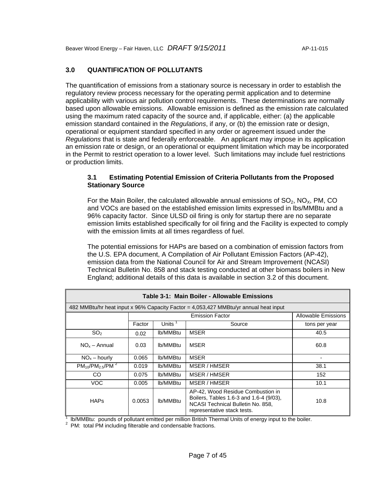# **3.0 QUANTIFICATION OF POLLUTANTS**

The quantification of emissions from a stationary source is necessary in order to establish the regulatory review process necessary for the operating permit application and to determine applicability with various air pollution control requirements. These determinations are normally based upon allowable emissions. Allowable emission is defined as the emission rate calculated using the maximum rated capacity of the source and, if applicable, either: (a) the applicable emission standard contained in the *Regulations*, if any, or (b) the emission rate or design, operational or equipment standard specified in any order or agreement issued under the *Regulations* that is state and federally enforceable. An applicant may impose in its application an emission rate or design, or an operational or equipment limitation which may be incorporated in the Permit to restrict operation to a lower level. Such limitations may include fuel restrictions or production limits.

# **3.1 Estimating Potential Emission of Criteria Pollutants from the Proposed Stationary Source**

For the Main Boiler, the calculated allowable annual emissions of  $SO_2$ ,  $NO<sub>x</sub>$ , PM, CO and VOCs are based on the established emission limits expressed in lbs/MMBtu and a 96% capacity factor. Since ULSD oil firing is only for startup there are no separate emission limits established specifically for oil firing and the Facility is expected to comply with the emission limits at all times regardless of fuel.

The potential emissions for HAPs are based on a combination of emission factors from the U.S. EPA document, A Compilation of Air Pollutant Emission Factors (AP-42), emission data from the National Council for Air and Stream Improvement (NCASI) Technical Bulletin No. 858 and stack testing conducted at other biomass boilers in New England; additional details of this data is available in section 3.2 of this document.

| Table 3-1: Main Boiler - Allowable Emissions |        |           |                                                                                                                                                  |                            |  |  |
|----------------------------------------------|--------|-----------|--------------------------------------------------------------------------------------------------------------------------------------------------|----------------------------|--|--|
|                                              |        |           | 482 MMBtu/hr heat input x 96% Capacity Factor = 4,053,427 MMBtu/yr annual heat input                                                             |                            |  |  |
|                                              |        |           | <b>Emission Factor</b>                                                                                                                           | <b>Allowable Emissions</b> |  |  |
|                                              | Factor | Units $1$ | Source                                                                                                                                           | tons per year              |  |  |
| SO <sub>2</sub>                              | 0.02   | lb/MMBtu  | <b>MSER</b>                                                                                                                                      | 40.5                       |  |  |
| $NOx - Annual$                               | 0.03   | lb/MMBtu  | <b>MSER</b>                                                                                                                                      | 60.8                       |  |  |
| $NOx - hour/v$                               | 0.065  | lb/MMBtu  | <b>MSER</b>                                                                                                                                      |                            |  |  |
| $PM_{10}/PM_{2.5}/PM^2$                      | 0.019  | lb/MMBtu  | MSER / HMSER                                                                                                                                     | 38.1                       |  |  |
| CO.                                          | 0.075  | lb/MMBtu  | MSER / HMSER                                                                                                                                     | 152                        |  |  |
| <b>VOC</b>                                   | 0.005  | lb/MMBtu  | MSER / HMSER                                                                                                                                     | 10.1                       |  |  |
| <b>HAPs</b>                                  | 0.0053 | lb/MMBtu  | AP-42, Wood Residue Combustion in<br>Boilers, Tables 1.6-3 and 1.6-4 (9/03),<br>NCASI Technical Bulletin No. 858,<br>representative stack tests. | 10.8                       |  |  |

 $\frac{1}{2}$  lb/MMBtu: pounds of pollutant emitted per million British Thermal Units of energy input to the boiler.

 $2$  PM: total PM including filterable and condensable fractions.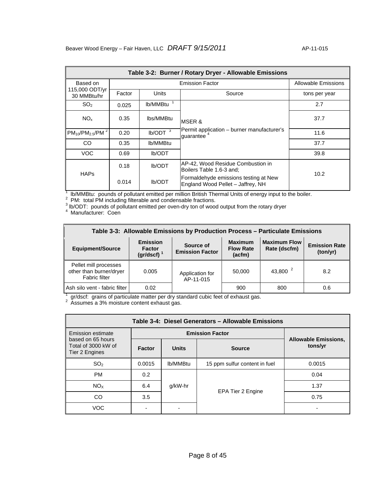| Table 3-2: Burner / Rotary Dryer - Allowable Emissions |        |                       |                                                                            |               |  |  |  |
|--------------------------------------------------------|--------|-----------------------|----------------------------------------------------------------------------|---------------|--|--|--|
| Based on                                               |        | Allowable Emissions   |                                                                            |               |  |  |  |
| 115,000 ODT/yr<br>30 MMBtu/hr                          | Factor | Units                 | Source                                                                     | tons per year |  |  |  |
| SO <sub>2</sub>                                        | 0.025  | lb/MMBtu <sup>1</sup> |                                                                            | 2.7           |  |  |  |
| NO <sub>x</sub>                                        | 0.35   | lbs/MMBtu             | IMSER &                                                                    | 37.7          |  |  |  |
| $PM_{10}/PM_{2.5}/PM^2$                                | 0.20   | lb/ODT <sup>3</sup>   | Permit application - burner manufacturer's<br>guarantee <sup>4</sup>       | 11.6          |  |  |  |
| CO                                                     | 0.35   | lb/MMBtu              |                                                                            | 37.7          |  |  |  |
| <b>VOC</b>                                             | 0.69   | Ib/ODT                |                                                                            | 39.8          |  |  |  |
|                                                        | 0.18   | Ib/ODT                | AP-42, Wood Residue Combustion in<br>Boilers Table 1.6-3 and:              | 10.2          |  |  |  |
| <b>HAPs</b><br>0.014                                   |        | Ib/ODT                | Formaldehyde emissions testing at New<br>England Wood Pellet - Jaffrey, NH |               |  |  |  |

<sup>1</sup> Ib/MMBtu: pounds of pollutant emitted per million British Thermal Units of energy input to the boiler.<br><sup>2</sup> PM: total PM including filterable and condensable fractions.<br><sup>3</sup> Ib/ODT: pounds of pollutant emitted per oven-

| Table 3-3: Allowable Emissions by Production Process - Particulate Emissions |                                                   |                                                                                                                                                                |        |               |     |  |  |  |
|------------------------------------------------------------------------------|---------------------------------------------------|----------------------------------------------------------------------------------------------------------------------------------------------------------------|--------|---------------|-----|--|--|--|
| <b>Equipment/Source</b>                                                      | <b>Emission</b><br><b>Factor</b><br>(gr/dscf) $1$ | <b>Maximum Flow</b><br><b>Maximum</b><br><b>Emission Rate</b><br>Source of<br>Rate (dscfm)<br><b>Flow Rate</b><br><b>Emission Factor</b><br>(ton/yr)<br>(acfm) |        |               |     |  |  |  |
| Pellet mill processes<br>other than burner/dryer<br><b>Fabric filter</b>     | 0.005                                             | Application for<br>AP-11-015                                                                                                                                   | 50,000 | 43,800 $^{2}$ | 8.2 |  |  |  |
| Ash silo vent - fabric filter                                                | 0.02                                              |                                                                                                                                                                | 900    | 800           | 0.6 |  |  |  |

 $^1$  gr/dscf: grains of particulate matter per dry standard cubic feet of exhaust gas.<br><sup>2</sup> Assumes a 3% moisture content exhaust gas.

| Table 3-4: Diesel Generators - Allowable Emissions         |                        |              |                               |                                        |  |  |
|------------------------------------------------------------|------------------------|--------------|-------------------------------|----------------------------------------|--|--|
| Emission estimate                                          | <b>Emission Factor</b> |              |                               |                                        |  |  |
| based on 65 hours<br>Total of 3000 kW of<br>Tier 2 Engines | <b>Factor</b>          | <b>Units</b> | <b>Source</b>                 | <b>Allowable Emissions,</b><br>tons/yr |  |  |
| SO <sub>2</sub>                                            | 0.0015                 | lb/MMBtu     | 15 ppm sulfur content in fuel | 0.0015                                 |  |  |
| <b>PM</b>                                                  | 0.2                    |              |                               | 0.04                                   |  |  |
| NO <sub>x</sub>                                            | 6.4                    | g/kW-hr      |                               | 1.37                                   |  |  |
| CO                                                         | 3.5                    |              | EPA Tier 2 Engine             | 0.75                                   |  |  |
| VOC.                                                       |                        |              |                               |                                        |  |  |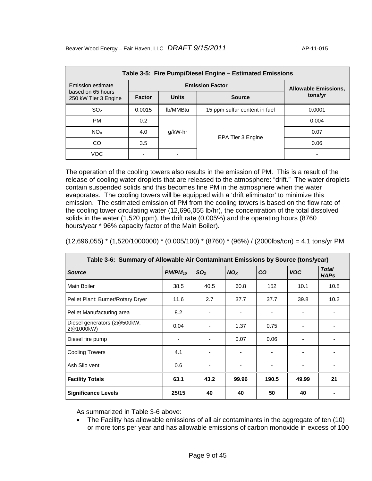| Table 3-5: Fire Pump/Diesel Engine - Estimated Emissions |        |                        |                               |                             |  |  |
|----------------------------------------------------------|--------|------------------------|-------------------------------|-----------------------------|--|--|
| Emission estimate                                        |        | <b>Emission Factor</b> |                               | <b>Allowable Emissions,</b> |  |  |
| based on 65 hours<br>250 kW Tier 3 Engine                | Factor | <b>Units</b>           | <b>Source</b>                 | tons/yr                     |  |  |
| SO <sub>2</sub>                                          | 0.0015 | lb/MMBtu               | 15 ppm sulfur content in fuel | 0.0001                      |  |  |
| PM                                                       | 0.2    |                        |                               | 0.004                       |  |  |
| NO <sub>x</sub>                                          | 4.0    | g/kW-hr                |                               | 0.07                        |  |  |
| CO                                                       | 3.5    |                        | EPA Tier 3 Engine             | 0.06                        |  |  |
| <b>VOC</b>                                               |        |                        |                               |                             |  |  |

The operation of the cooling towers also results in the emission of PM. This is a result of the release of cooling water droplets that are released to the atmosphere: "drift." The water droplets contain suspended solids and this becomes fine PM in the atmosphere when the water evaporates. The cooling towers will be equipped with a 'drift eliminator' to minimize this emission. The estimated emission of PM from the cooling towers is based on the flow rate of the cooling tower circulating water (12,696,055 lb/hr), the concentration of the total dissolved solids in the water (1,520 ppm), the drift rate (0.005%) and the operating hours (8760 hours/year \* 96% capacity factor of the Main Boiler).

 $(12,696,055)$  \*  $(1,520/1000000)$  \*  $(0.005/100)$  \*  $(8760)$  \*  $(96%)$  /  $(2000$ lbs/ton) = 4.1 tons/yr PM

| Table 3-6: Summary of Allowable Air Contaminant Emissions by Source (tons/year) |              |                 |                 |           |            |                             |  |
|---------------------------------------------------------------------------------|--------------|-----------------|-----------------|-----------|------------|-----------------------------|--|
| <b>Source</b>                                                                   | $PM/PM_{10}$ | SO <sub>2</sub> | NO <sub>x</sub> | <b>CO</b> | <b>VOC</b> | <b>Total</b><br><b>HAPs</b> |  |
| <b>Main Boiler</b>                                                              | 38.5         | 40.5            | 60.8            | 152       | 10.1       | 10.8                        |  |
| Pellet Plant: Burner/Rotary Dryer                                               | 11.6         | 2.7             | 37.7            | 37.7      | 39.8       | 10.2                        |  |
| Pellet Manufacturing area                                                       | 8.2          |                 |                 |           |            | -                           |  |
| Diesel generators (2@500kW,<br>2@1000kW)                                        | 0.04         |                 | 1.37            | 0.75      |            |                             |  |
| Diesel fire pump                                                                |              |                 | 0.07            | 0.06      | -          | $\overline{\phantom{a}}$    |  |
| <b>Cooling Towers</b>                                                           | 4.1          |                 |                 |           | ۰          | $\blacksquare$              |  |
| Ash Silo vent                                                                   | 0.6          |                 |                 |           | -          |                             |  |
| <b>Facility Totals</b>                                                          | 63.1         | 43.2            | 99.96           | 190.5     | 49.99      | 21                          |  |
| <b>Significance Levels</b>                                                      | 25/15        | 40              | 40              | 50        | 40         |                             |  |

As summarized in Table 3-6 above:

• The Facility has allowable emissions of all air contaminants in the aggregate of ten (10) or more tons per year and has allowable emissions of carbon monoxide in excess of 100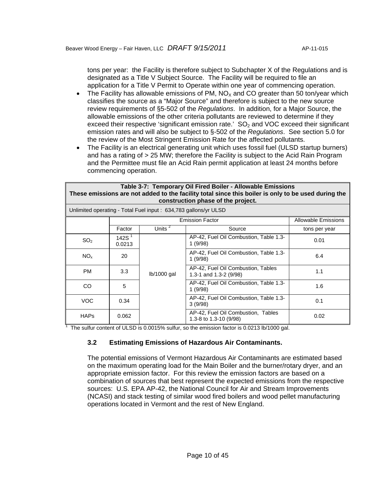tons per year: the Facility is therefore subject to Subchapter X of the Regulations and is designated as a Title V Subject Source. The Facility will be required to file an application for a Title V Permit to Operate within one year of commencing operation.

- The Facility has allowable emissions of PM,  $NO<sub>x</sub>$  and CO greater than 50 ton/year which classifies the source as a "Major Source" and therefore is subject to the new source review requirements of §5-502 of the *Regulations*. In addition, for a Major Source, the allowable emissions of the other criteria pollutants are reviewed to determine if they exceed their respective 'significant emission rate.'  $SO<sub>2</sub>$  and VOC exceed their significant emission rates and will also be subject to §-502 of the *Regulations*. See section 5.0 for the review of the Most Stringent Emission Rate for the affected pollutants.
- The Facility is an electrical generating unit which uses fossil fuel (ULSD startup burners) and has a rating of > 25 MW; therefore the Facility is subject to the Acid Rain Program and the Permittee must file an Acid Rain permit application at least 24 months before commencing operation.

| Table 3-7: Temporary Oil Fired Boiler - Allowable Emissions<br>These emissions are not added to the facility total since this boiler is only to be used during the<br>construction phase of the project. |                    |                                                                 |                                                                |                     |  |  |  |
|----------------------------------------------------------------------------------------------------------------------------------------------------------------------------------------------------------|--------------------|-----------------------------------------------------------------|----------------------------------------------------------------|---------------------|--|--|--|
|                                                                                                                                                                                                          |                    | Unlimited operating - Total Fuel input: 634,783 gallons/yr ULSD |                                                                |                     |  |  |  |
|                                                                                                                                                                                                          |                    |                                                                 | <b>Emission Factor</b>                                         | Allowable Emissions |  |  |  |
|                                                                                                                                                                                                          | Factor             | Units $2$                                                       | Source                                                         | tons per year       |  |  |  |
| SO <sub>2</sub>                                                                                                                                                                                          | 142S $1$<br>0.0213 |                                                                 | AP-42, Fuel Oil Combustion, Table 1.3-<br>1 (9/98)             | 0.01                |  |  |  |
| NO <sub>x</sub>                                                                                                                                                                                          | 20                 |                                                                 | AP-42, Fuel Oil Combustion, Table 1.3-<br>1(9/98)              | 6.4                 |  |  |  |
| <b>PM</b>                                                                                                                                                                                                | 3.3                | $lb/1000$ gal                                                   | AP-42, Fuel Oil Combustion, Tables<br>1.3-1 and 1.3-2 $(9/98)$ | 1.1                 |  |  |  |
| CO.                                                                                                                                                                                                      | 5                  |                                                                 | AP-42, Fuel Oil Combustion, Table 1.3-<br>1(9/98)              | 1.6                 |  |  |  |
| <b>VOC</b>                                                                                                                                                                                               | 0.34               |                                                                 | AP-42, Fuel Oil Combustion, Table 1.3-<br>3(9/98)              | 0.1                 |  |  |  |
| <b>HAPs</b>                                                                                                                                                                                              | 0.062              |                                                                 | AP-42, Fuel Oil Combustion, Tables<br>1.3-8 to 1.3-10 (9/98)   | 0.02                |  |  |  |

<sup>1</sup> The sulfur content of ULSD is 0.0015% sulfur, so the emission factor is 0.0213 lb/1000 gal.

# **3.2 Estimating Emissions of Hazardous Air Contaminants.**

The potential emissions of Vermont Hazardous Air Contaminants are estimated based on the maximum operating load for the Main Boiler and the burner/rotary dryer, and an appropriate emission factor. For this review the emission factors are based on a combination of sources that best represent the expected emissions from the respective sources: U.S. EPA AP-42, the National Council for Air and Stream Improvements (NCASI) and stack testing of similar wood fired boilers and wood pellet manufacturing operations located in Vermont and the rest of New England.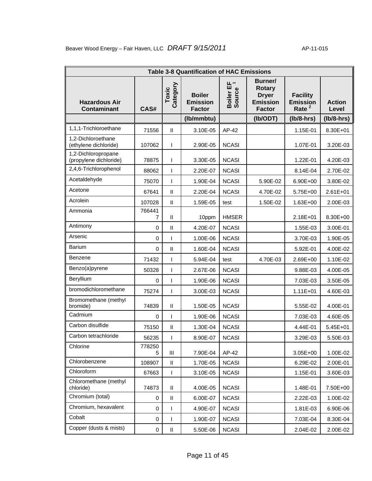| <b>Table 3-8 Quantification of HAC Emissions</b> |              |                        |                                                   |                          |                                                                              |                                                |                        |  |
|--------------------------------------------------|--------------|------------------------|---------------------------------------------------|--------------------------|------------------------------------------------------------------------------|------------------------------------------------|------------------------|--|
| <b>Hazardous Air</b><br><b>Contaminant</b>       | CAS#         | Category<br>Toxic      | <b>Boiler</b><br><b>Emission</b><br><b>Factor</b> | ᄔ<br>Boiler EF<br>Source | Burner/<br><b>Rotary</b><br><b>Dryer</b><br><b>Emission</b><br><b>Factor</b> | <b>Facility</b><br><b>Emission</b><br>Rate $2$ | <b>Action</b><br>Level |  |
|                                                  |              |                        | (lb/mmbtu)                                        |                          | (Ib/ODT)                                                                     | $(lb/8-hrs)$                                   | $(lb/8-hrs)$           |  |
| 1,1,1-Trichloroethane                            | 71556        | $\mathsf{I}\mathsf{I}$ | 3.10E-05                                          | AP-42                    |                                                                              | 1.15E-01                                       | 8.30E+01               |  |
| 1,2-Dichloroethane<br>(ethylene dichloride)      | 107062       | ı                      | 2.90E-05                                          | <b>NCASI</b>             |                                                                              | 1.07E-01                                       | 3.20E-03               |  |
| 1,2-Dichloropropane<br>(propylene dichloride)    | 78875        | ı                      | 3.30E-05                                          | <b>NCASI</b>             |                                                                              | 1.22E-01                                       | 4.20E-03               |  |
| 2,4,6-Trichlorophenol                            | 88062        | ı                      | 2.20E-07                                          | <b>NCASI</b>             |                                                                              | 8.14E-04                                       | 2.70E-02               |  |
| Acetaldehyde                                     | 75070        | ı                      | 1.90E-04                                          | <b>NCASI</b>             | 5.90E-02                                                                     | 6.90E+00                                       | 3.80E-02               |  |
| Acetone                                          | 67641        | $\sf II$               | 2.20E-04                                          | <b>NCASI</b>             | 4.70E-02                                                                     | 5.75E+00                                       | $2.61E + 01$           |  |
| Acrolein                                         | 107028       | $\mathsf{I}\mathsf{I}$ | 1.59E-05                                          | test                     | 1.50E-02                                                                     | $1.63E + 00$                                   | 2.00E-03               |  |
| Ammonia                                          | 766441<br>7  | $\sf II$               | 10ppm                                             | <b>HMSER</b>             |                                                                              | $2.18E + 01$                                   | 8.30E+00               |  |
| Antimony                                         | $\mathbf 0$  | $\sf II$               | 4.20E-07                                          | <b>NCASI</b>             |                                                                              | 1.55E-03                                       | 3.00E-01               |  |
| Arsenic                                          | $\mathbf 0$  |                        | 1.00E-06                                          | <b>NCASI</b>             |                                                                              | 3.70E-03                                       | 1.90E-05               |  |
| <b>Barium</b>                                    | $\Omega$     | $\sf II$               | 1.60E-04                                          | <b>NCASI</b>             |                                                                              | 5.92E-01                                       | 4.00E-02               |  |
| Benzene                                          | 71432        | ı                      | 5.94E-04                                          | test                     | 4.70E-03                                                                     | 2.69E+00                                       | 1.10E-02               |  |
| Benzo(a)pyrene                                   | 50328        | ı                      | 2.67E-06                                          | <b>NCASI</b>             |                                                                              | 9.88E-03                                       | 4.00E-05               |  |
| Beryllium                                        | 0            | ı                      | 1.90E-06                                          | <b>NCASI</b>             |                                                                              | 7.03E-03                                       | 3.50E-05               |  |
| bromodichloromethane                             | 75274        | $\overline{1}$         | 3.00E-03                                          | <b>NCASI</b>             |                                                                              | $1.11E + 01$                                   | 4.60E-03               |  |
| Bromomethane (methyl<br>bromide)                 | 74839        | $\mathbf{I}$           | 1.50E-05                                          | <b>NCASI</b>             |                                                                              | 5.55E-02                                       | 4.00E-01               |  |
| Cadmium                                          | $\mathbf 0$  | ı                      | 1.90E-06                                          | <b>NCASI</b>             |                                                                              | 7.03E-03                                       | 4.60E-05               |  |
| Carbon disulfide                                 | 75150        | $\sf II$               | 1.30E-04                                          | <b>NCASI</b>             |                                                                              | 4.44E-01                                       | 5.45E+01               |  |
| Carbon tetrachloride                             | 56235        | I                      | 8.90E-07                                          | <b>NCASI</b>             |                                                                              | 3.29E-03                                       | 5.50E-03               |  |
| Chlorine                                         | 778250<br>5. | Ш                      | 7.90E-04                                          | AP-42                    |                                                                              | 3.05E+00                                       | 1.00E-02               |  |
| Chlorobenzene                                    | 108907       | Ш                      | 1.70E-05                                          | <b>NCASI</b>             |                                                                              | 6.29E-02                                       | 2.00E-01               |  |
| Chloroform                                       | 67663        | I                      | 3.10E-05                                          | <b>NCASI</b>             |                                                                              | 1.15E-01                                       | 3.60E-03               |  |
| Chloromethane (methyl<br>chloride)               | 74873        | $\mathsf{I}\mathsf{I}$ | 4.00E-05                                          | <b>NCASI</b>             |                                                                              | 1.48E-01                                       | 7.50E+00               |  |
| Chromium (total)                                 | 0            | $\mathbf{I}$           | 6.00E-07                                          | <b>NCASI</b>             |                                                                              | 2.22E-03                                       | 1.00E-02               |  |
| Chromium, hexavalent                             | 0            |                        | 4.90E-07                                          | <b>NCASI</b>             |                                                                              | 1.81E-03                                       | 6.90E-06               |  |
| Cobalt                                           | 0            | ı                      | 1.90E-07                                          | <b>NCASI</b>             |                                                                              | 7.03E-04                                       | 8.30E-04               |  |
| Copper (dusts & mists)                           | 0            | $\sf II$               | 5.50E-06                                          | <b>NCASI</b>             |                                                                              | 2.04E-02                                       | 2.00E-02               |  |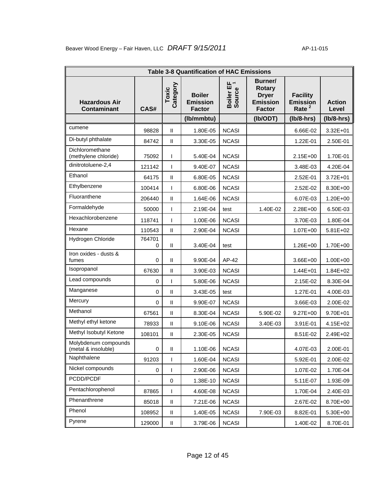|                                             | <b>Table 3-8 Quantification of HAC Emissions</b> |                            |                                                   |                          |                                                                              |                                                         |                        |  |  |
|---------------------------------------------|--------------------------------------------------|----------------------------|---------------------------------------------------|--------------------------|------------------------------------------------------------------------------|---------------------------------------------------------|------------------------|--|--|
| <b>Hazardous Air</b><br><b>Contaminant</b>  | CAS#                                             | Category<br>Toxic          | <b>Boiler</b><br><b>Emission</b><br><b>Factor</b> | ᄔ<br>Boiler EF<br>Source | Burner/<br><b>Rotary</b><br><b>Dryer</b><br><b>Emission</b><br><b>Factor</b> | <b>Facility</b><br><b>Emission</b><br>Rate <sup>2</sup> | <b>Action</b><br>Level |  |  |
|                                             |                                                  |                            | (lb/mmbtu)                                        |                          | (Ib/ODT)                                                                     | $(lb/8-hrs)$                                            | $(lb/8-hrs)$           |  |  |
| cumene                                      | 98828                                            | $\sf II$                   | 1.80E-05                                          | <b>NCASI</b>             |                                                                              | 6.66E-02                                                | 3.32E+01               |  |  |
| Di-butyl phthalate                          | 84742                                            | $\sf II$                   | 3.30E-05                                          | <b>NCASI</b>             |                                                                              | 1.22E-01                                                | 2.50E-01               |  |  |
| Dichloromethane<br>(methylene chloride)     | 75092                                            | T                          | 5.40E-04                                          | <b>NCASI</b>             |                                                                              | 2.15E+00                                                | 1.70E-01               |  |  |
| dinitrotoluene-2,4                          | 121142                                           | T                          | 9.40E-07                                          | <b>NCASI</b>             |                                                                              | 3.48E-03                                                | 4.20E-04               |  |  |
| Ethanol                                     | 64175                                            | $\sf II$                   | 6.80E-05                                          | <b>NCASI</b>             |                                                                              | 2.52E-01                                                | 3.72E+01               |  |  |
| Ethylbenzene                                | 100414                                           | ı                          | 6.80E-06                                          | <b>NCASI</b>             |                                                                              | 2.52E-02                                                | 8.30E+00               |  |  |
| Fluoranthene                                | 206440                                           | $\sf II$                   | 1.64E-06                                          | <b>NCASI</b>             |                                                                              | 6.07E-03                                                | $1.20E + 00$           |  |  |
| Formaldehyde                                | 50000                                            | ı                          | 2.19E-04                                          | test                     | 1.40E-02                                                                     | 2.28E+00                                                | 6.50E-03               |  |  |
| Hexachlorobenzene                           | 118741                                           | I                          | 1.00E-06                                          | <b>NCASI</b>             |                                                                              | 3.70E-03                                                | 1.80E-04               |  |  |
| Hexane                                      | 110543                                           | $\mathbf{I}$               | 2.90E-04                                          | <b>NCASI</b>             |                                                                              | 1.07E+00                                                | 5.81E+02               |  |  |
| Hydrogen Chloride                           | 764701<br>0                                      | $\sf II$                   | 3.40E-04                                          | test                     |                                                                              | 1.26E+00                                                | 1.70E+00               |  |  |
| Iron oxides - dusts &<br>fumes              | 0                                                | $\mathbf{I}$               | 9.90E-04                                          | AP-42                    |                                                                              | 3.66E+00                                                | $1.00E + 00$           |  |  |
| Isopropanol                                 | 67630                                            | $\sf II$                   | 3.90E-03                                          | <b>NCASI</b>             |                                                                              | $1.44E + 01$                                            | $1.84E + 02$           |  |  |
| Lead compounds                              | 0                                                | T                          | 5.80E-06                                          | <b>NCASI</b>             |                                                                              | 2.15E-02                                                | 8.30E-04               |  |  |
| Manganese                                   | $\mathbf 0$                                      | $\mathbf{I}$               | 3.43E-05                                          | test                     |                                                                              | 1.27E-01                                                | 4.00E-03               |  |  |
| Mercury                                     | 0                                                | $\mathbf{I}$               | 9.90E-07                                          | <b>NCASI</b>             |                                                                              | 3.66E-03                                                | 2.00E-02               |  |  |
| Methanol                                    | 67561                                            | $\mathsf{I}\mathsf{I}$     | 8.30E-04                                          | <b>NCASI</b>             | 5.90E-02                                                                     | $9.27E + 00$                                            | 9.70E+01               |  |  |
| Methyl ethyl ketone                         | 78933                                            | $\sf II$                   | 9.10E-06                                          | <b>NCASI</b>             | 3.40E-03                                                                     | 3.91E-01                                                | 4.15E+02               |  |  |
| Methyl Isobutyl Ketone                      | 108101                                           | $\mathsf{II}$              | 2.30E-05                                          | <b>NCASI</b>             |                                                                              | 8.51E-02                                                | 2.49E+02               |  |  |
| Molybdenum compounds<br>(metal & insoluble) | 0                                                | Ш                          | 1.10E-06                                          | <b>NCASI</b>             |                                                                              | 4.07E-03                                                | 2.00E-01               |  |  |
| Naphthalene                                 | 91203                                            | T                          | 1.60E-04                                          | <b>NCASI</b>             |                                                                              | 5.92E-01                                                | 2.00E-02               |  |  |
| Nickel compounds                            | 0                                                | ı                          | 2.90E-06                                          | <b>NCASI</b>             |                                                                              | 1.07E-02                                                | 1.70E-04               |  |  |
| PCDD/PCDF                                   | $\overline{\phantom{0}}$                         | 0                          | 1.38E-10                                          | <b>NCASI</b>             |                                                                              | 5.11E-07                                                | 1.93E-09               |  |  |
| Pentachlorophenol                           | 87865                                            | T                          | 4.60E-08                                          | <b>NCASI</b>             |                                                                              | 1.70E-04                                                | 2.40E-03               |  |  |
| Phenanthrene                                | 85018                                            | $\sf II$                   | 7.21E-06                                          | <b>NCASI</b>             |                                                                              | 2.67E-02                                                | 8.70E+00               |  |  |
| Phenol                                      | 108952                                           | $\ensuremath{\mathsf{II}}$ | 1.40E-05                                          | <b>NCASI</b>             | 7.90E-03                                                                     | 8.82E-01                                                | 5.30E+00               |  |  |
| Pyrene                                      | 129000                                           | $\sf II$                   | 3.79E-06                                          | <b>NCASI</b>             |                                                                              | 1.40E-02                                                | 8.70E-01               |  |  |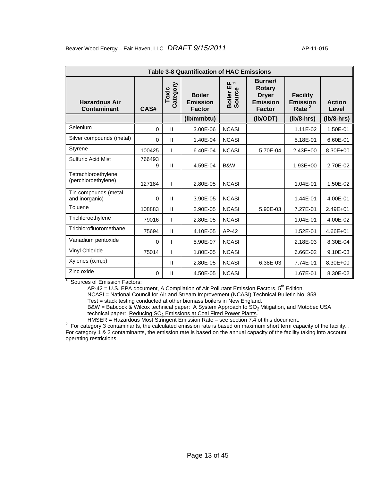|                                            | <b>Table 3-8 Quantification of HAC Emissions</b> |                   |                                                   |                          |                                                                              |                                                         |                        |  |  |  |
|--------------------------------------------|--------------------------------------------------|-------------------|---------------------------------------------------|--------------------------|------------------------------------------------------------------------------|---------------------------------------------------------|------------------------|--|--|--|
| <b>Hazardous Air</b><br><b>Contaminant</b> | CAS#                                             | Category<br>Toxic | <b>Boiler</b><br><b>Emission</b><br><b>Factor</b> | ᄔ<br>Boiler EF<br>Source | Burner/<br><b>Rotary</b><br><b>Dryer</b><br><b>Emission</b><br><b>Factor</b> | <b>Facility</b><br><b>Emission</b><br>Rate <sup>2</sup> | <b>Action</b><br>Level |  |  |  |
|                                            |                                                  |                   | (lb/mmbtu)                                        |                          | (Ib/ODT)                                                                     | $(lb/8-hrs)$                                            | $(lb/8-hrs)$           |  |  |  |
| Selenium                                   | 0                                                | $\mathbf{I}$      | 3.00E-06                                          | <b>NCASI</b>             |                                                                              | 1.11E-02                                                | 1.50E-01               |  |  |  |
| Silver compounds (metal)                   | 0                                                | $\mathbf{I}$      | 1.40E-04                                          | <b>NCASI</b>             |                                                                              | 5.18E-01                                                | 6.60E-01               |  |  |  |
| <b>Styrene</b>                             | 100425                                           |                   | 6.40E-04                                          | <b>NCASI</b>             | 5.70E-04                                                                     | $2.43E + 00$                                            | 8.30E+00               |  |  |  |
| <b>Sulfuric Acid Mist</b>                  | 766493<br>9                                      | Ш                 | 4.59E-04                                          | B&W                      |                                                                              | 1.93E+00                                                | 2.70E-02               |  |  |  |
| Tetrachloroethylene<br>(perchloroethylene) | 127184                                           |                   | 2.80E-05                                          | <b>NCASI</b>             |                                                                              | 1.04E-01                                                | 1.50E-02               |  |  |  |
| Tin compounds (metal<br>and inorganic)     | $\Omega$                                         | $\mathbf{I}$      | 3.90E-05                                          | <b>NCASI</b>             |                                                                              | 1.44E-01                                                | 4.00E-01               |  |  |  |
| Toluene                                    | 108883                                           | Ш                 | 2.90E-05                                          | <b>NCASI</b>             | 5.90E-03                                                                     | 7.27E-01                                                | 2.49E+01               |  |  |  |
| Trichloroethylene                          | 79016                                            | T                 | 2.80E-05                                          | <b>NCASI</b>             |                                                                              | 1.04E-01                                                | 4.00E-02               |  |  |  |
| Trichlorofluoromethane                     | 75694                                            | $\mathbf{H}$      | 4.10E-05                                          | $AP-42$                  |                                                                              | 1.52E-01                                                | 4.66E+01               |  |  |  |
| Vanadium pentoxide                         | $\Omega$                                         | ı                 | 5.90E-07                                          | <b>NCASI</b>             |                                                                              | 2.18E-03                                                | 8.30E-04               |  |  |  |
| Vinyl Chloride                             | 75014                                            | T                 | 1.80E-05                                          | <b>NCASI</b>             |                                                                              | 6.66E-02                                                | 9.10E-03               |  |  |  |
| Xylenes (o,m,p)                            | $\blacksquare$                                   | Ш                 | 2.80E-05                                          | <b>NCASI</b>             | 6.38E-03                                                                     | 7.74E-01                                                | 8.30E+00               |  |  |  |
| Zinc oxide                                 | 0                                                | Ш                 | 4.50E-05                                          | <b>NCASI</b>             |                                                                              | 1.67E-01                                                | 8.30E-02               |  |  |  |

<sup>1</sup> Sources of Emission Factors:

AP-42 = U.S. EPA document, A Compilation of Air Pollutant Emission Factors, 5<sup>th</sup> Edition.

NCASI = National Council for Air and Stream Improvement (NCASI) Technical Bulletin No. 858. Test = stack testing conducted at other biomass boilers in New England.

B&W = Babcock & Wilcox technical paper: A System Approach to  $SO_3$  Mitigation, and Motobec USA technical paper: Reducing SO<sub>2</sub> Emissions at Coal Fired Power Plants.<br>HMSER = Hazardous Most Stringent Emission Rate – see section 7.4 of this document.

HMSER = Hazardous Most Stringent Emission Rate – see section 7.4 of this document.<br><sup>2</sup> For category 3 contaminants, the calculated emission rate is based on maximum short term capacity of the facility. . For category 1 & 2 contaminants, the emission rate is based on the annual capacity of the facility taking into account operating restrictions.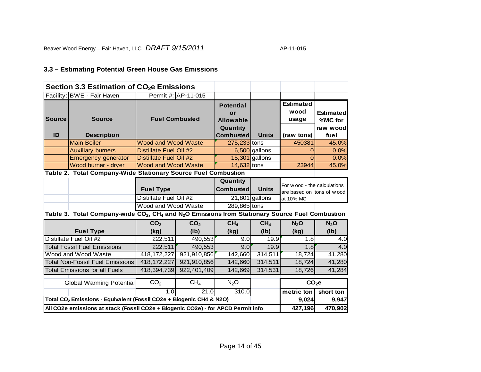# **3.3 – Estimating Potential Green House Gas Emissions**

|                      | Section 3.3 Estimation of CO <sub>2</sub> e Emissions                                                                               |                            |                     |                                                        |                  |                                                          |                                   |
|----------------------|-------------------------------------------------------------------------------------------------------------------------------------|----------------------------|---------------------|--------------------------------------------------------|------------------|----------------------------------------------------------|-----------------------------------|
|                      | Facility: BWE - Fair Haven                                                                                                          |                            | Permit #: AP-11-015 |                                                        |                  |                                                          |                                   |
| <b>Source</b>        | <b>Source</b>                                                                                                                       | <b>Fuel Combusted</b>      |                     | <b>Potential</b><br>or<br><b>Allowable</b><br>Quantity |                  | <b>Estimated</b><br>wood<br>usage                        | Estimated<br>%MC for<br>raw woodl |
| ID                   | <b>Description</b>                                                                                                                  |                            |                     | <b>Combusted</b>                                       | <b>Units</b>     | (raw tons)                                               | fuel                              |
|                      | <b>Main Boiler</b>                                                                                                                  | <b>Wood and Wood Waste</b> |                     | 275,233 tons                                           |                  | 450381                                                   | 45.0%                             |
|                      | <b>Auxiliary burners</b>                                                                                                            | Distillate Fuel Oil #2     |                     |                                                        | 6,500 gallons    | 0                                                        | 0.0%                              |
|                      | <b>Emergency generator</b>                                                                                                          | Distillate Fuel Oil #2     |                     |                                                        | $15,301$ gallons | $\Omega$                                                 | 0.0%                              |
|                      | Wood burner - dryer                                                                                                                 | <b>Wood and Wood Waste</b> |                     | 14,632 tons                                            |                  | 23944                                                    | 45.0%                             |
|                      | Table 2. Total Company-Wide Stationary Source Fuel Combustion                                                                       |                            |                     |                                                        |                  |                                                          |                                   |
|                      |                                                                                                                                     | <b>Fuel Type</b>           |                     | Quantity<br>Combusted                                  | <b>Units</b>     | For wood - the calculations<br>are based on tons of wood |                                   |
|                      |                                                                                                                                     | Distillate Fuel Oil #2     |                     |                                                        | $21,801$ gallons | at 10% MC                                                |                                   |
|                      |                                                                                                                                     | Wood and Wood Waste        |                     | 289,865 tons                                           |                  |                                                          |                                   |
|                      | Table 3. Total Company-wide CO <sub>2</sub> , CH <sub>4</sub> and N <sub>2</sub> O Emissions from Stationary Source Fuel Combustion |                            |                     |                                                        |                  |                                                          |                                   |
|                      |                                                                                                                                     | CO <sub>2</sub>            | CO <sub>2</sub>     | CH <sub>4</sub>                                        | CH <sub>4</sub>  | N <sub>2</sub> O                                         | N <sub>2</sub> O                  |
|                      | <b>Fuel Type</b>                                                                                                                    | (kg)                       | (lb)                | (kg)                                                   | (lb)             | (kg)                                                     | (Ib)                              |
|                      | Distillate Fuel Oil #2                                                                                                              | 222,511                    | 490,553             | 9.0                                                    | 19.9             | 1.8                                                      | 4.0                               |
|                      | <b>Total Fossil Fuel Emissions</b>                                                                                                  | 222,511                    | 490,553             | 9.0                                                    | 19.9             | 1.8                                                      | 4.0                               |
|                      | Wood and Wood Waste                                                                                                                 | 418, 172, 227              | 921,910,856         | 142,660                                                | 314,511          | 18,724                                                   | 41,280                            |
|                      | <b>Total Non-Fossil Fuel Emissions</b>                                                                                              | 418, 172, 227              | 921,910,856         | 142,660                                                | 314,511          | 18,724                                                   | 41,280                            |
|                      | <b>Total Emissions for all Fuels</b>                                                                                                | 418,394,739                | 922,401,409         | 142,669                                                | 314,531          | 18,726                                                   | 41,284                            |
| CH <sub>4</sub>      |                                                                                                                                     |                            |                     | N <sub>2</sub> O                                       |                  |                                                          |                                   |
|                      | <b>Global Warming Potential</b>                                                                                                     | CO <sub>2</sub>            |                     |                                                        | $CO2$ e          |                                                          |                                   |
| 21.0<br>1.0<br>310.0 |                                                                                                                                     |                            |                     |                                                        |                  | metric ton                                               | short ton                         |
|                      | Total CO <sub>2</sub> Emissions - Equivalent (Fossil CO2e + Biogenic CH4 & N2O)                                                     |                            |                     |                                                        |                  | 9,024                                                    | 9,947                             |
|                      | All CO2e emissions at stack (Fossil CO2e + Biogenic CO2e) - for APCD Permit info                                                    |                            |                     |                                                        |                  | 427,196                                                  | 470,902                           |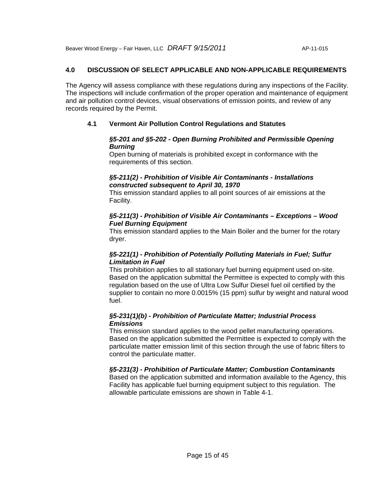# **4.0 DISCUSSION OF SELECT APPLICABLE AND NON-APPLICABLE REQUIREMENTS**

The Agency will assess compliance with these regulations during any inspections of the Facility. The inspections will include confirmation of the proper operation and maintenance of equipment and air pollution control devices, visual observations of emission points, and review of any records required by the Permit.

# **4.1 Vermont Air Pollution Control Regulations and Statutes**

#### *§5-201 and §5-202 - Open Burning Prohibited and Permissible Opening Burning*

Open burning of materials is prohibited except in conformance with the requirements of this section.

### *§5-211(2) - Prohibition of Visible Air Contaminants - Installations constructed subsequent to April 30, 1970*

This emission standard applies to all point sources of air emissions at the Facility.

# *§5-211(3) - Prohibition of Visible Air Contaminants – Exceptions – Wood Fuel Burning Equipment*

This emission standard applies to the Main Boiler and the burner for the rotary dryer.

# *§5-221(1) - Prohibition of Potentially Polluting Materials in Fuel; Sulfur Limitation in Fuel*

This prohibition applies to all stationary fuel burning equipment used on-site. Based on the application submittal the Permittee is expected to comply with this regulation based on the use of Ultra Low Sulfur Diesel fuel oil certified by the supplier to contain no more 0.0015% (15 ppm) sulfur by weight and natural wood fuel.

# *§5-231(1)(b) - Prohibition of Particulate Matter; Industrial Process Emissions*

This emission standard applies to the wood pellet manufacturing operations. Based on the application submitted the Permittee is expected to comply with the particulate matter emission limit of this section through the use of fabric filters to control the particulate matter.

# *§5-231(3) - Prohibition of Particulate Matter; Combustion Contaminants*

Based on the application submitted and information available to the Agency, this Facility has applicable fuel burning equipment subject to this regulation. The allowable particulate emissions are shown in Table 4-1.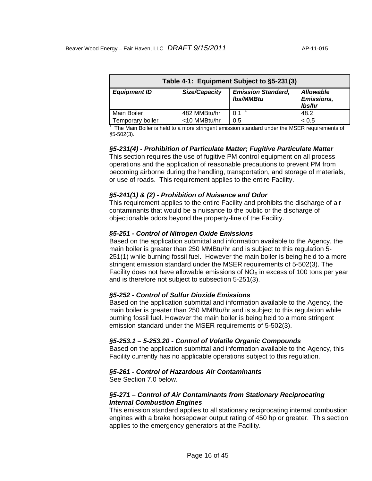| Table 4-1: Equipment Subject to §5-231(3) |               |                                               |                                                 |  |  |  |
|-------------------------------------------|---------------|-----------------------------------------------|-------------------------------------------------|--|--|--|
| <b>Equipment ID</b>                       | Size/Capacity | <b>Emission Standard,</b><br><b>lbs/MMBtu</b> | <b>Allowable</b><br><b>Emissions,</b><br>lbs/hr |  |  |  |
| Main Boiler                               | 482 MMBtu/hr  | 0.1                                           | 48.2                                            |  |  |  |
| Temporary boiler                          | <10 MMBtu/hr  | 0.5                                           | < 0.5                                           |  |  |  |

<sup>1</sup> The Main Boiler is held to a more stringent emission standard under the MSER requirements of §5-502(3).

#### *§5-231(4) - Prohibition of Particulate Matter; Fugitive Particulate Matter*

This section requires the use of fugitive PM control equipment on all process operations and the application of reasonable precautions to prevent PM from becoming airborne during the handling, transportation, and storage of materials, or use of roads. This requirement applies to the entire Facility.

#### *§5-241(1) & (2) - Prohibition of Nuisance and Odor*

This requirement applies to the entire Facility and prohibits the discharge of air contaminants that would be a nuisance to the public or the discharge of objectionable odors beyond the property-line of the Facility.

#### *§5-251 - Control of Nitrogen Oxide Emissions*

Based on the application submittal and information available to the Agency, the main boiler is greater than 250 MMBtu/hr and is subject to this regulation 5- 251(1) while burning fossil fuel. However the main boiler is being held to a more stringent emission standard under the MSER requirements of 5-502(3). The Facility does not have allowable emissions of  $NO<sub>x</sub>$  in excess of 100 tons per year and is therefore not subject to subsection 5-251(3).

#### *§5-252 - Control of Sulfur Dioxide Emissions*

Based on the application submittal and information available to the Agency, the main boiler is greater than 250 MMBtu/hr and is subject to this regulation while burning fossil fuel. However the main boiler is being held to a more stringent emission standard under the MSER requirements of 5-502(3).

#### *§5-253.1 – 5-253.20 - Control of Volatile Organic Compounds*

Based on the application submittal and information available to the Agency, this Facility currently has no applicable operations subject to this regulation.

#### *§5-261 - Control of Hazardous Air Contaminants*

See Section 7.0 below.

### *§5-271 – Control of Air Contaminants from Stationary Reciprocating Internal Combustion Engines*

This emission standard applies to all stationary reciprocating internal combustion engines with a brake horsepower output rating of 450 hp or greater. This section applies to the emergency generators at the Facility.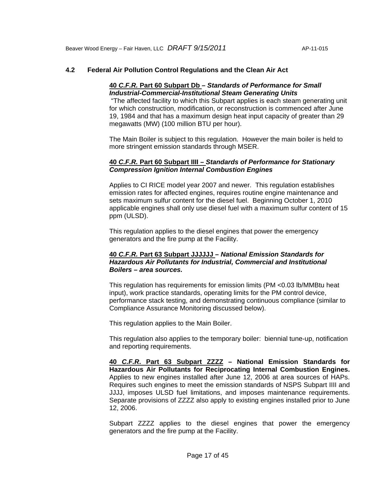# **4.2 Federal Air Pollution Control Regulations and the Clean Air Act**

#### **40** *C.F.R.* **Part 60 Subpart Db** *– Standards of Performance for Small Industrial-Commercial-Institutional Steam Generating Units*

 "The affected facility to which this Subpart applies is each steam generating unit for which construction, modification, or reconstruction is commenced after June 19, 1984 and that has a maximum design heat input capacity of greater than 29 megawatts (MW) (100 million BTU per hour).

The Main Boiler is subject to this regulation. However the main boiler is held to more stringent emission standards through MSER.

### **40** *C.F.R.* **Part 60 Subpart IIII –** *Standards of Performance for Stationary Compression Ignition Internal Combustion Engines*

Applies to CI RICE model year 2007 and newer. This regulation establishes emission rates for affected engines, requires routine engine maintenance and sets maximum sulfur content for the diesel fuel. Beginning October 1, 2010 applicable engines shall only use diesel fuel with a maximum sulfur content of 15 ppm (ULSD).

This regulation applies to the diesel engines that power the emergency generators and the fire pump at the Facility.

#### **40** *C.F.R.* **Part 63 Subpart JJJJJJ** *– National Emission Standards for Hazardous Air Pollutants for Industrial, Commercial and Institutional Boilers – area sources.*

This regulation has requirements for emission limits (PM <0.03 lb/MMBtu heat input), work practice standards, operating limits for the PM control device, performance stack testing, and demonstrating continuous compliance (similar to Compliance Assurance Monitoring discussed below).

This regulation applies to the Main Boiler.

This regulation also applies to the temporary boiler: biennial tune-up, notification and reporting requirements.

**40** *C.F.R***. Part 63 Subpart ZZZZ – National Emission Standards for Hazardous Air Pollutants for Reciprocating Internal Combustion Engines.**  Applies to new engines installed after June 12, 2006 at area sources of HAPs. Requires such engines to meet the emission standards of NSPS Subpart IIII and JJJJ, imposes ULSD fuel limitations, and imposes maintenance requirements. Separate provisions of ZZZZ also apply to existing engines installed prior to June 12, 2006.

Subpart ZZZZ applies to the diesel engines that power the emergency generators and the fire pump at the Facility.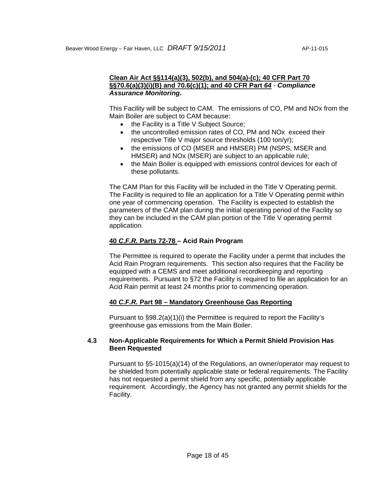### **Clean Air Act §§114(a)(3), 502(b), and 504(a)-(c); 40 CFR Part 70 §§70.6(a)(3)(i)(B) and 70.6(c)(1); and 40 CFR Part** *64 - Compliance Assurance Monitoring.*

This Facility will be subject to CAM. The emissions of CO, PM and NOx from the Main Boiler are subject to CAM because:

- the Facility is a Title V Subject Source;
- the uncontrolled emission rates of CO, PM and NOx exceed their respective Title V major source thresholds (100 ton/yr);
- the emissions of CO (MSER and HMSER) PM (NSPS, MSER and HMSER) and NOx (MSER) are subject to an applicable rule;
- the Main Boiler is equipped with emissions control devices for each of these pollutants.

The CAM Plan for this Facility will be included in the Title V Operating permit. The Facility is required to file an application for a Title V Operating permit within one year of commencing operation. The Facility is expected to establish the parameters of the CAM plan during the initial operating period of the Facility so they can be included in the CAM plan portion of the Title V operating permit application.

# **40** *C.F.R.* **Parts 72-78 – Acid Rain Program**

The Permittee is required to operate the Facility under a permit that includes the Acid Rain Program requirements. This section also requires that the Facility be equipped with a CEMS and meet additional recordkeeping and reporting requirements. Pursuant to §72 the Facility is required to file an application for an Acid Rain permit at least 24 months prior to commencing operation.

# **40** *C.F.R.* **Part 98 – Mandatory Greenhouse Gas Reporting**

Pursuant to §98.2(a)(1)(i) the Permittee is required to report the Facility's greenhouse gas emissions from the Main Boiler.

# **4.3 Non-Applicable Requirements for Which a Permit Shield Provision Has Been Requested**

Pursuant to §5-1015(a)(14) of the Regulations, an owner/operator may request to be shielded from potentially applicable state or federal requirements. The Facility has not requested a permit shield from any specific, potentially applicable requirement. Accordingly, the Agency has not granted any permit shields for the Facility.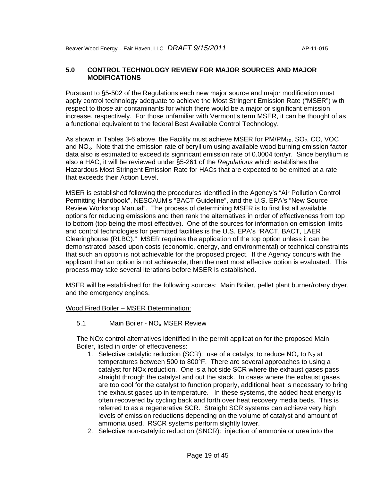# **5.0 CONTROL TECHNOLOGY REVIEW FOR MAJOR SOURCES AND MAJOR MODIFICATIONS**

Pursuant to §5-502 of the Regulations each new major source and major modification must apply control technology adequate to achieve the Most Stringent Emission Rate ("MSER") with respect to those air contaminants for which there would be a major or significant emission increase, respectively. For those unfamiliar with Vermont's term MSER, it can be thought of as a functional equivalent to the federal Best Available Control Technology.

As shown in Tables 3-6 above, the Facility must achieve MSER for  $PM/PM_{10}$ , SO<sub>2</sub>, CO, VOC and  $NO<sub>x</sub>$ . Note that the emission rate of beryllium using available wood burning emission factor data also is estimated to exceed its significant emission rate of 0.0004 ton/yr. Since beryllium is also a HAC, it will be reviewed under §5-261 of the *Regulations* which establishes the Hazardous Most Stringent Emission Rate for HACs that are expected to be emitted at a rate that exceeds their Action Level.

MSER is established following the procedures identified in the Agency's "Air Pollution Control Permitting Handbook", NESCAUM's "BACT Guideline", and the U.S. EPA's "New Source Review Workshop Manual". The process of determining MSER is to first list all available options for reducing emissions and then rank the alternatives in order of effectiveness from top to bottom (top being the most effective). One of the sources for information on emission limits and control technologies for permitted facilities is the U.S. EPA's "RACT, BACT, LAER Clearinghouse (RLBC)." MSER requires the application of the top option unless it can be demonstrated based upon costs (economic, energy, and environmental) or technical constraints that such an option is not achievable for the proposed project. If the Agency concurs with the applicant that an option is not achievable, then the next most effective option is evaluated. This process may take several iterations before MSER is established.

MSER will be established for the following sources: Main Boiler, pellet plant burner/rotary dryer, and the emergency engines.

Wood Fired Boiler – MSER Determination:

5.1 Main Boiler -  $NO<sub>x</sub>$  MSER Review

The NOx control alternatives identified in the permit application for the proposed Main Boiler, listed in order of effectiveness:

- 1. Selective catalytic reduction (SCR): use of a catalyst to reduce  $NO_x$  to  $N_2$  at temperatures between 500 to 800°F. There are several approaches to using a catalyst for NOx reduction. One is a hot side SCR where the exhaust gases pass straight through the catalyst and out the stack. In cases where the exhaust gases are too cool for the catalyst to function properly, additional heat is necessary to bring the exhaust gases up in temperature. In these systems, the added heat energy is often recovered by cycling back and forth over heat recovery media beds. This is referred to as a regenerative SCR. Straight SCR systems can achieve very high levels of emission reductions depending on the volume of catalyst and amount of ammonia used. RSCR systems perform slightly lower.
- 2. Selective non-catalytic reduction (SNCR): injection of ammonia or urea into the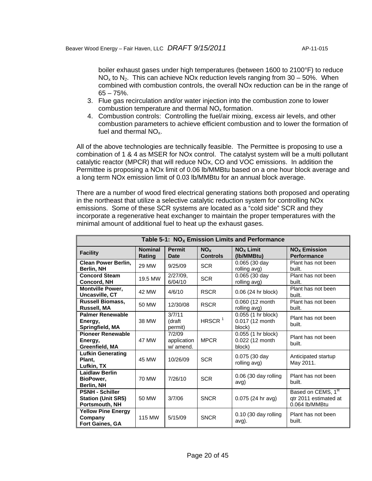boiler exhaust gases under high temperatures (between 1600 to 2100°F) to reduce  $NO<sub>x</sub>$  to  $N<sub>2</sub>$ . This can achieve NOx reduction levels ranging from 30 – 50%. When combined with combustion controls, the overall NOx reduction can be in the range of  $65 - 75%$ .

- 3. Flue gas recirculation and/or water injection into the combustion zone to lower combustion temperature and thermal  $NO<sub>x</sub>$  formation.
- 4. Combustion controls: Controlling the fuel/air mixing, excess air levels, and other combustion parameters to achieve efficient combustion and to lower the formation of fuel and thermal  $NO<sub>x</sub>$ .

All of the above technologies are technically feasible. The Permittee is proposing to use a combination of 1 & 4 as MSER for NOx control. The catalyst system will be a multi pollutant catalytic reactor (MPCR) that will reduce NOx, CO and VOC emissions. In addition the Permittee is proposing a NOx limit of 0.06 lb/MMBtu based on a one hour block average and a long term NOx emission limit of 0.03 lb/MMBtu for an annual block average.

There are a number of wood fired electrical generating stations both proposed and operating in the northeast that utilize a selective catalytic reduction system for controlling NOx emissions. Some of these SCR systems are located as a "cold side" SCR and they incorporate a regenerative heat exchanger to maintain the proper temperatures with the minimal amount of additional fuel to heat up the exhaust gases.

|                                                                       | Table 5-1: $NOx$ Emission Limits and Performance |                                    |                                    |                                                 |                                                                           |  |  |  |
|-----------------------------------------------------------------------|--------------------------------------------------|------------------------------------|------------------------------------|-------------------------------------------------|---------------------------------------------------------------------------|--|--|--|
| <b>Facility</b>                                                       | <b>Nominal</b><br>Rating                         | <b>Permit</b><br><b>Date</b>       | NO <sub>x</sub><br><b>Controls</b> | $NOx$ Limit<br>(Ib/MMBtu)                       | <b>NO<sub>x</sub></b> Emission<br><b>Performance</b>                      |  |  |  |
| <b>Clean Power Berlin,</b><br>Berlin, NH                              | 29 MW                                            | 9/25/09                            | <b>SCR</b>                         | $0.065$ (30 day<br>rolling avg)                 | Plant has not been<br>built.                                              |  |  |  |
| <b>Concord Steam</b><br><b>Concord, NH</b>                            | 19.5 MW                                          | $2/27/09$ ,<br>6/04/10             | <b>SCR</b>                         | 0.065 (30 day<br>rolling avg)                   | Plant has not been<br>built.                                              |  |  |  |
| <b>Montville Power,</b><br>Uncasville, CT                             | 42 MW                                            | 4/6/10                             | <b>RSCR</b>                        | 0.06 (24 hr block)                              | Plant has not been<br>built.                                              |  |  |  |
| <b>Russell Biomass,</b><br>Russell, MA                                | 50 MW                                            | 12/30/08                           | <b>RSCR</b>                        | 0.060 (12 month<br>rolling avg)                 | Plant has not been<br>built.                                              |  |  |  |
| <b>Palmer Renewable</b><br>Energy,<br>Springfield, MA                 | 38 MW                                            | 3/7/11<br>(draft<br>permit)        | HRSCR <sup>1</sup>                 | 0.055 (1 hr block)<br>0.017 (12 month<br>block) | Plant has not been<br>built.                                              |  |  |  |
| <b>Pioneer Renewable</b><br>Energy,<br>Greenfield, MA                 | 47 MW                                            | 7/2/09<br>application<br>w/ amend. | <b>MPCR</b>                        | 0.055 (1 hr block)<br>0.022 (12 month<br>block) | Plant has not been<br>built.                                              |  |  |  |
| <b>Lufkin Generating</b><br>Plant.<br>Lufkin, TX                      | 45 MW                                            | 10/26/09                           | <b>SCR</b>                         | 0.075 (30 day<br>rolling avg)                   | Anticipated startup<br>May 2011.                                          |  |  |  |
| <b>Laidlaw Berlin</b><br>BioPower,<br>Berlin, NH                      | 70 MW                                            | 7/26/10                            | <b>SCR</b>                         | $0.06$ (30 day rolling<br>avg)                  | Plant has not been<br>built.                                              |  |  |  |
| <b>PSNH - Schiller</b><br><b>Station (Unit SR5)</b><br>Portsmouth, NH | 50 MW                                            | 3/7/06                             | <b>SNCR</b>                        | 0.075(24 hr avg)                                | Based on CEMS, 1 <sup>st</sup><br>qtr 2011 estimated at<br>0.064 lb/MMBtu |  |  |  |
| <b>Yellow Pine Energy</b><br>Company<br>Fort Gaines, GA               | 115 MW                                           | 5/15/09                            | <b>SNCR</b>                        | $0.10$ (30 day rolling<br>avg).                 | Plant has not been<br>built.                                              |  |  |  |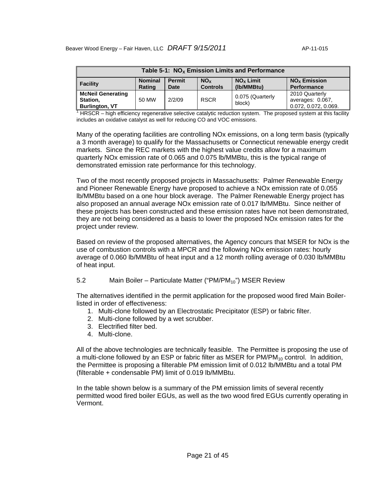| Table 5-1: $NOx$ Emission Limits and Performance                                                                                                                                                    |       |        |             |                            |                                                            |  |
|-----------------------------------------------------------------------------------------------------------------------------------------------------------------------------------------------------|-------|--------|-------------|----------------------------|------------------------------------------------------------|--|
| <b>Nominal</b><br>$NOx$ Limit<br>$NOx$ Emission<br><b>Permit</b><br><b>NO<sub>x</sub></b><br><b>Facility</b><br>(Ib/MMBtu)<br><b>Controls</b><br><b>Rating</b><br><b>Performance</b><br><b>Date</b> |       |        |             |                            |                                                            |  |
| <b>McNeil Generating</b><br>Station,<br><b>Burlington, VT</b>                                                                                                                                       | 50 MW | 2/2/09 | <b>RSCR</b> | 0.075 (Quarterly<br>block) | 2010 Quarterly<br>averages: 0.067,<br>0.072, 0.072, 0.069. |  |

**DESET FRIGHTER THE EXET EXET FOR THE LET THE LET THE LET THE LET THE LET THE LET THE LET THE LET THE LET THE LET THE LET THE LET THE LET THE LET THE LET THE LET THE LET THE LET THE LET THE LET THE LET THE LET THE LET THE** includes an oxidative catalyst as well for reducing CO and VOC emissions.

Many of the operating facilities are controlling NOx emissions, on a long term basis (typically a 3 month average) to qualify for the Massachusetts or Connecticut renewable energy credit markets. Since the REC markets with the highest value credits allow for a maximum quarterly NOx emission rate of 0.065 and 0.075 lb/MMBtu, this is the typical range of demonstrated emission rate performance for this technology.

Two of the most recently proposed projects in Massachusetts: Palmer Renewable Energy and Pioneer Renewable Energy have proposed to achieve a NOx emission rate of 0.055 lb/MMBtu based on a one hour block average. The Palmer Renewable Energy project has also proposed an annual average NOx emission rate of 0.017 lb/MMBtu. Since neither of these projects has been constructed and these emission rates have not been demonstrated, they are not being considered as a basis to lower the proposed NOx emission rates for the project under review.

Based on review of the proposed alternatives, the Agency concurs that MSER for NOx is the use of combustion controls with a MPCR and the following NOx emission rates: hourly average of 0.060 lb/MMBtu of heat input and a 12 month rolling average of 0.030 lb/MMBtu of heat input.

#### 5.2 Main Boiler – Particulate Matter ("PM/PM<sub>10</sub>") MSER Review

The alternatives identified in the permit application for the proposed wood fired Main Boilerlisted in order of effectiveness:

- 1. Multi-clone followed by an Electrostatic Precipitator (ESP) or fabric filter.
- 2. Multi-clone followed by a wet scrubber.
- 3. Electrified filter bed.
- 4. Multi-clone.

All of the above technologies are technically feasible. The Permittee is proposing the use of a multi-clone followed by an ESP or fabric filter as MSER for  $PM/PM_{10}$  control. In addition, the Permittee is proposing a filterable PM emission limit of 0.012 lb/MMBtu and a total PM (filterable + condensable PM) limit of 0.019 lb/MMBtu.

In the table shown below is a summary of the PM emission limits of several recently permitted wood fired boiler EGUs, as well as the two wood fired EGUs currently operating in Vermont.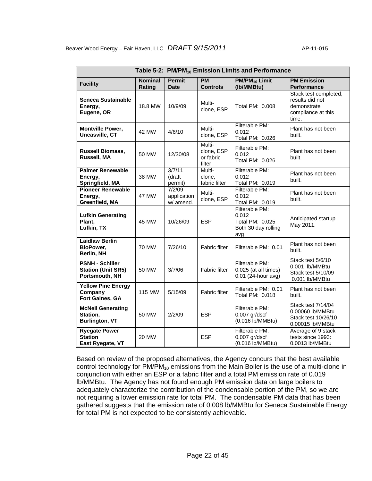|                                                                       |                          |                                    |                                             | Table 5-2: PM/PM <sub>10</sub> Emission Limits and Performance           |                                                                                        |
|-----------------------------------------------------------------------|--------------------------|------------------------------------|---------------------------------------------|--------------------------------------------------------------------------|----------------------------------------------------------------------------------------|
| <b>Facility</b>                                                       | <b>Nominal</b><br>Rating | <b>Permit</b><br><b>Date</b>       | <b>PM</b><br><b>Controls</b>                | PM/PM <sub>10</sub> Limit<br>(Ib/MMBtu)                                  | <b>PM Emission</b><br><b>Performance</b>                                               |
| <b>Seneca Sustainable</b><br>Energy,<br>Eugene, OR                    | 18.8 MW                  | 10/9/09                            | Multi-<br>clone, ESP                        | Total PM: 0.008                                                          | Stack test completed;<br>results did not<br>demonstrate<br>compliance at this<br>time. |
| <b>Montville Power,</b><br>Uncasville, CT                             | 42 MW                    | 4/6/10                             | Multi-<br>clone, ESP                        | Filterable PM:<br>0.012<br>Total PM: 0.026                               | Plant has not been<br>built.                                                           |
| <b>Russell Biomass,</b><br>Russell, MA                                | 50 MW                    | 12/30/08                           | Multi-<br>clone, ESP<br>or fabric<br>filter | Filterable PM:<br>0.012<br>Total PM: 0.026                               | Plant has not been<br>built.                                                           |
| <b>Palmer Renewable</b><br>Energy,<br>Springfield, MA                 | 38 MW                    | 3/7/11<br>(draft<br>permit)        | Multi-<br>clone,<br>fabric filter           | Filterable PM:<br>0.012<br>Total PM: 0.019                               | Plant has not been<br>built.                                                           |
| <b>Pioneer Renewable</b><br>Energy,<br>Greenfield, MA                 | 47 MW                    | 7/2/09<br>application<br>w/ amend. | Multi-<br>clone, ESP                        | Filterable PM:<br>0.012<br>Total PM: 0.019                               | Plant has not been<br>built.                                                           |
| <b>Lufkin Generating</b><br>Plant,<br>Lufkin, TX                      | 45 MW                    | 10/26/09                           | <b>ESP</b>                                  | Filterable PM:<br>0.012<br>Total PM: 0.025<br>Both 30 day rolling<br>avg | Anticipated startup<br>May 2011.                                                       |
| <b>Laidlaw Berlin</b><br>BioPower,<br>Berlin, NH                      | <b>70 MW</b>             | 7/26/10                            | Fabric filter                               | Filterable PM: 0.01                                                      | Plant has not been<br>built.                                                           |
| <b>PSNH - Schiller</b><br><b>Station (Unit SR5)</b><br>Portsmouth, NH | 50 MW                    | 3/7/06                             | Fabric filter                               | Filterable PM:<br>0.025 (at all times)<br>0.01 (24-hour avg)             | Stack test 5/6/10<br>0.001 lb/MMBtu<br>Stack test 5/10/09<br>0.001 lb/MMBtu            |
| <b>Yellow Pine Energy</b><br>Company<br>Fort Gaines, GA               | 115 MW                   | 5/15/09                            | <b>Fabric filter</b>                        | Filterable PM: 0.01<br>Total PM: 0.018                                   | Plant has not been<br>built.                                                           |
| <b>McNeil Generating</b><br>Station,<br><b>Burlington, VT</b>         | 50 MW                    | 2/2/09                             | <b>ESP</b>                                  | Filterable PM:<br>$0.007$ gr/dscf<br>(0.016 lb/MMBtu)                    | Stack test 7/14/04<br>0.00060 lb/MMBtu<br>Stack test 10/26/10<br>0.00015 lb/MMBtu      |
| <b>Ryegate Power</b><br><b>Station</b><br>East Ryegate, VT            | <b>20 MW</b>             |                                    | <b>ESP</b>                                  | Filterable PM:<br>$0.007$ gr/dscf<br>(0.016 lb/MMBtu)                    | Average of 9 stack<br>tests since 1993:<br>0.0013 lb/MMBtu                             |

Based on review of the proposed alternatives, the Agency concurs that the best available control technology for  $PM/PM_{10}$  emissions from the Main Boiler is the use of a multi-clone in conjunction with either an ESP or a fabric filter and a total PM emission rate of 0.019 lb/MMBtu. The Agency has not found enough PM emission data on large boilers to adequately characterize the contribution of the condensable portion of the PM, so we are not requiring a lower emission rate for total PM. The condensable PM data that has been gathered suggests that the emission rate of 0.008 lb/MMBtu for Seneca Sustainable Energy for total PM is not expected to be consistently achievable.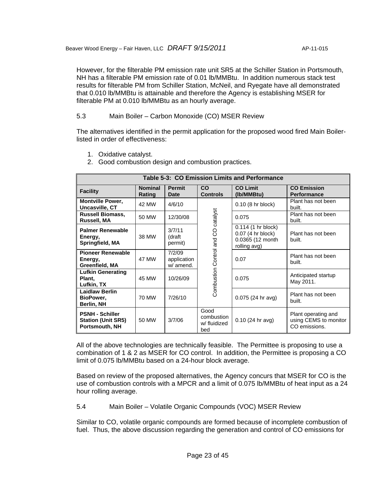However, for the filterable PM emission rate unit SR5 at the Schiller Station in Portsmouth, NH has a filterable PM emission rate of 0.01 lb/MMBtu. In addition numerous stack test results for filterable PM from Schiller Station, McNeil, and Ryegate have all demonstrated that 0.010 lb/MMBtu is attainable and therefore the Agency is establishing MSER for filterable PM at 0.010 lb/MMBtu as an hourly average.

# 5.3 Main Boiler – Carbon Monoxide (CO) MSER Review

The alternatives identified in the permit application for the proposed wood fired Main Boilerlisted in order of effectiveness:

- 1. Oxidative catalyst.
- 2. Good combustion design and combustion practices.

| <b>Table 5-3: CO Emission Limits and Performance</b>                  |                          |                                    |                                           |                                                                             |                                                               |  |  |
|-----------------------------------------------------------------------|--------------------------|------------------------------------|-------------------------------------------|-----------------------------------------------------------------------------|---------------------------------------------------------------|--|--|
| <b>Facility</b>                                                       | <b>Nominal</b><br>Rating | <b>Permit</b><br>Date              | <b>CO</b><br><b>Controls</b>              | <b>CO Limit</b><br>(Ib/MMBtu)                                               | <b>CO Emission</b><br><b>Performance</b>                      |  |  |
| <b>Montville Power,</b><br>Uncasville, CT                             | 42 MW                    | 4/6/10                             |                                           | 0.10 (8 hr block)                                                           | Plant has not been<br>built.                                  |  |  |
| <b>Russell Biomass,</b><br>Russell, MA                                | 50 MW                    | 12/30/08                           | Combustion Control and CO catalyst        | 0.075                                                                       | Plant has not been<br>built.                                  |  |  |
| <b>Palmer Renewable</b><br>Energy,<br>Springfield, MA                 | 38 MW                    | 3/7/11<br>(draft<br>permit)        |                                           | 0.114 (1 hr block)<br>0.07 (4 hr block)<br>0.0365 (12 month<br>rolling avg) | Plant has not been<br>built.                                  |  |  |
| <b>Pioneer Renewable</b><br>Energy,<br>Greenfield, MA                 | 47 MW                    | 7/2/09<br>application<br>w/ amend. |                                           | 0.07                                                                        | Plant has not been<br>built.                                  |  |  |
| <b>Lufkin Generating</b><br>Plant,<br>Lufkin, TX                      | 45 MW                    | 10/26/09                           |                                           | 0.075                                                                       | Anticipated startup<br>May 2011.                              |  |  |
| <b>Laidlaw Berlin</b><br>BioPower,<br>Berlin, NH                      | 70 MW                    | 7/26/10                            |                                           | 0.075 (24 hr avg)                                                           | Plant has not been<br>built.                                  |  |  |
| <b>PSNH - Schiller</b><br><b>Station (Unit SR5)</b><br>Portsmouth, NH | 50 MW                    | 3/7/06                             | Good<br>combustion<br>w/ fluidized<br>bed | $0.10(24)$ hr avg)                                                          | Plant operating and<br>using CEMS to monitor<br>CO emissions. |  |  |

All of the above technologies are technically feasible. The Permittee is proposing to use a combination of 1 & 2 as MSER for CO control. In addition, the Permittee is proposing a CO limit of 0.075 lb/MMBtu based on a 24-hour block average.

Based on review of the proposed alternatives, the Agency concurs that MSER for CO is the use of combustion controls with a MPCR and a limit of 0.075 lb/MMBtu of heat input as a 24 hour rolling average.

5.4 Main Boiler – Volatile Organic Compounds (VOC) MSER Review

Similar to CO, volatile organic compounds are formed because of incomplete combustion of fuel. Thus, the above discussion regarding the generation and control of CO emissions for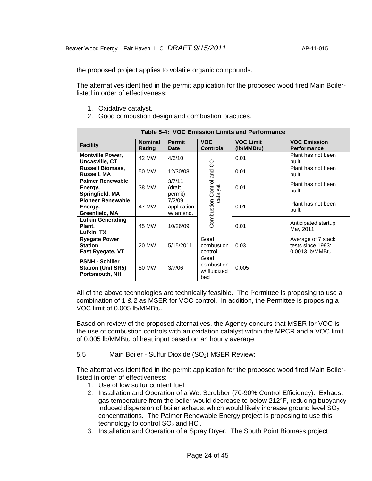the proposed project applies to volatile organic compounds.

The alternatives identified in the permit application for the proposed wood fired Main Boilerlisted in order of effectiveness:

- 1. Oxidative catalyst.
- 2. Good combustion design and combustion practices.

| Table 5-4: VOC Emission Limits and Performance                        |                          |                                    |                                           |                                |                                                            |  |  |
|-----------------------------------------------------------------------|--------------------------|------------------------------------|-------------------------------------------|--------------------------------|------------------------------------------------------------|--|--|
| <b>Facility</b>                                                       | <b>Nominal</b><br>Rating | <b>Permit</b><br>Date              | <b>VOC</b><br><b>Controls</b>             | <b>VOC Limit</b><br>(Ib/MMBtu) | <b>VOC Emission</b><br><b>Performance</b>                  |  |  |
| <b>Montville Power,</b><br>Uncasville, CT                             | 42 MW                    | 4/6/10                             | 8<br>Combustion Control and<br>catalyst   | 0.01                           | Plant has not been<br>built.                               |  |  |
| <b>Russell Biomass,</b><br>Russell, MA                                | 50 MW                    | 12/30/08                           |                                           | 0.01                           | Plant has not been<br>built.                               |  |  |
| <b>Palmer Renewable</b><br>Energy,<br>Springfield, MA                 | 38 MW                    | 3/7/11<br>(draft<br>permit)        |                                           | 0.01                           | Plant has not been<br>built.                               |  |  |
| <b>Pioneer Renewable</b><br>Energy,<br>Greenfield, MA                 | 47 MW                    | 7/2/09<br>application<br>w/ amend. |                                           | 0.01                           | Plant has not been<br>built.                               |  |  |
| <b>Lufkin Generating</b><br>Plant,<br>Lufkin, TX                      | 45 MW                    | 10/26/09                           |                                           | 0.01                           | Anticipated startup<br>May 2011.                           |  |  |
| <b>Ryegate Power</b><br><b>Station</b><br>East Ryegate, VT            | 20 MW                    | 5/15/2011                          | Good<br>combustion<br>control             | 0.03                           | Average of 7 stack<br>tests since 1993:<br>0.0013 lb/MMBtu |  |  |
| <b>PSNH - Schiller</b><br><b>Station (Unit SR5)</b><br>Portsmouth, NH | 50 MW                    | 3/7/06                             | Good<br>combustion<br>w/ fluidized<br>bed | 0.005                          |                                                            |  |  |

All of the above technologies are technically feasible. The Permittee is proposing to use a combination of 1 & 2 as MSER for VOC control. In addition, the Permittee is proposing a VOC limit of 0.005 lb/MMBtu.

Based on review of the proposed alternatives, the Agency concurs that MSER for VOC is the use of combustion controls with an oxidation catalyst within the MPCR and a VOC limit of 0.005 lb/MMBtu of heat input based on an hourly average.

5.5 Main Boiler - Sulfur Dioxide (SO<sub>2</sub>) MSER Review:

The alternatives identified in the permit application for the proposed wood fired Main Boilerlisted in order of effectiveness:

- 1. Use of low sulfur content fuel:
- 2. Installation and Operation of a Wet Scrubber (70-90% Control Efficiency): Exhaust gas temperature from the boiler would decrease to below 212°F, reducing buoyancy induced dispersion of boiler exhaust which would likely increase ground level  $SO<sub>2</sub>$ concentrations. The Palmer Renewable Energy project is proposing to use this technology to control  $SO<sub>2</sub>$  and HCl.
- 3. Installation and Operation of a Spray Dryer. The South Point Biomass project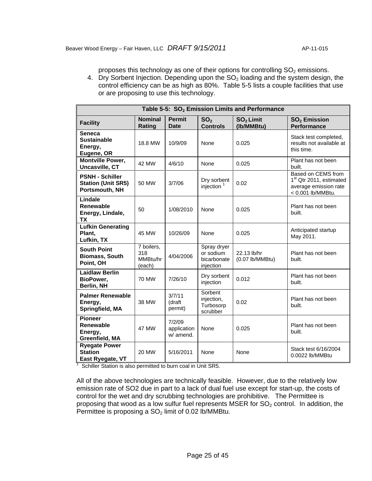proposes this technology as one of their options for controlling  $SO<sub>2</sub>$  emissions.

4. Dry Sorbent Injection. Depending upon the  $SO<sub>2</sub>$  loading and the system design, the control efficiency can be as high as 80%. Table 5-5 lists a couple facilities that use or are proposing to use this technology.

| Table 5-5: SO <sub>2</sub> Emission Limits and Performance            |                                         |                                    |                                                      |                                     |                                                                                                         |  |  |
|-----------------------------------------------------------------------|-----------------------------------------|------------------------------------|------------------------------------------------------|-------------------------------------|---------------------------------------------------------------------------------------------------------|--|--|
| <b>Facility</b>                                                       | <b>Nominal</b><br>Rating                | <b>Permit</b><br><b>Date</b>       | SO <sub>2</sub><br><b>Controls</b>                   | SO <sub>2</sub> Limit<br>(Ib/MMBtu) | $SO2$ Emission<br><b>Performance</b>                                                                    |  |  |
| <b>Seneca</b><br><b>Sustainable</b><br>Energy,<br>Eugene, OR          | 18.8 MW                                 | 10/9/09                            | None                                                 | 0.025                               | Stack test completed,<br>results not available at<br>this time.                                         |  |  |
| <b>Montville Power,</b><br>Uncasville, CT                             | 42 MW                                   | 4/6/10                             | None                                                 | 0.025                               | Plant has not been<br>built.                                                                            |  |  |
| <b>PSNH - Schiller</b><br><b>Station (Unit SR5)</b><br>Portsmouth, NH | 50 MW                                   | 3/7/06                             | Dry sorbent<br>injection                             | 0.02                                | Based on CEMS from<br>1 <sup>st</sup> Qtr 2011, estimated<br>average emission rate<br>< 0.001 lb/MMBtu. |  |  |
| Lindale<br>Renewable<br>Energy, Lindale,<br><b>TX</b>                 | 50                                      | 1/08/2010                          | None                                                 | 0.025                               | Plant has not been<br>built.                                                                            |  |  |
| <b>Lufkin Generating</b><br>Plant,<br>Lufkin, TX                      | 45 MW                                   | 10/26/09                           | None                                                 | 0.025                               | Anticipated startup<br>May 2011.                                                                        |  |  |
| <b>South Point</b><br><b>Biomass, South</b><br>Point, OH              | 7 boilers,<br>318<br>MMBtu/hr<br>(each) | 4/04/2006                          | Spray dryer<br>or sodium<br>bicarbonate<br>injection | 22.13 lb/hr<br>$(0.07$ lb/MMBtu)    | Plant has not been<br>built.                                                                            |  |  |
| <b>Laidlaw Berlin</b><br>BioPower,<br>Berlin, NH                      | 70 MW                                   | 7/26/10                            | Dry sorbent<br>injection                             | 0.012                               | Plant has not been<br>built.                                                                            |  |  |
| <b>Palmer Renewable</b><br>Energy,<br>Springfield, MA                 | 38 MW                                   | 3/7/11<br>(draft<br>permit)        | Sorbent<br>injection,<br>Turbosorp<br>scrubber       | 0.02                                | Plant has not been<br>built.                                                                            |  |  |
| <b>Pioneer</b><br>Renewable<br>Energy,<br>Greenfield, MA              | 47 MW                                   | 7/2/09<br>application<br>w/ amend. | None                                                 | 0.025                               | Plant has not been<br>built.                                                                            |  |  |
| <b>Ryegate Power</b><br><b>Station</b><br>East Ryegate, VT            | 20 MW                                   | 5/16/2011                          | None                                                 | None                                | Stack test 6/16/2004<br>0.0022 lb/MMBtu                                                                 |  |  |

<sup>1</sup> Schiller Station is also permitted to burn coal in Unit SR5.

All of the above technologies are technically feasible. However, due to the relatively low emission rate of SO2 due in part to a lack of dual fuel use except for start-up, the costs of control for the wet and dry scrubbing technologies are prohibitive. The Permittee is proposing that wood as a low sulfur fuel represents MSER for  $SO<sub>2</sub>$  control. In addition, the Permittee is proposing a  $SO<sub>2</sub>$  limit of 0.02 lb/MMBtu.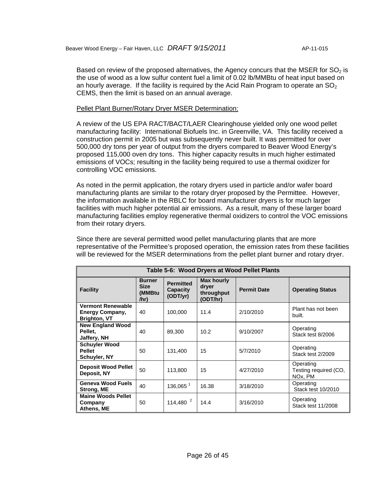Based on review of the proposed alternatives, the Agency concurs that the MSER for  $SO<sub>2</sub>$  is the use of wood as a low sulfur content fuel a limit of 0.02 lb/MMBtu of heat input based on an hourly average. If the facility is required by the Acid Rain Program to operate an  $SO<sub>2</sub>$ CEMS, then the limit is based on an annual average.

#### Pellet Plant Burner/Rotary Dryer MSER Determination:

A review of the US EPA RACT/BACT/LAER Clearinghouse yielded only one wood pellet manufacturing facility: International Biofuels Inc. in Greenville, VA. This facility received a construction permit in 2005 but was subsequently never built. It was permitted for over 500,000 dry tons per year of output from the dryers compared to Beaver Wood Energy's proposed 115,000 oven dry tons. This higher capacity results in much higher estimated emissions of VOCs; resulting in the facility being required to use a thermal oxidizer for controlling VOC emissions.

As noted in the permit application, the rotary dryers used in particle and/or wafer board manufacturing plants are similar to the rotary dryer proposed by the Permittee. However, the information available in the RBLC for board manufacturer dryers is for much larger facilities with much higher potential air emissions. As a result, many of these larger board manufacturing facilities employ regenerative thermal oxidizers to control the VOC emissions from their rotary dryers.

Since there are several permitted wood pellet manufacturing plants that are more representative of the Permittee's proposed operation, the emission rates from these facilities will be reviewed for the MSER determinations from the pellet plant burner and rotary dryer.

| Table 5-6: Wood Dryers at Wood Pellet Plants                              |                                                |                                                 |                                                      |                    |                                               |  |  |  |
|---------------------------------------------------------------------------|------------------------------------------------|-------------------------------------------------|------------------------------------------------------|--------------------|-----------------------------------------------|--|--|--|
| <b>Facility</b>                                                           | <b>Burner</b><br><b>Size</b><br>(MMBtu<br>/hr) | <b>Permitted</b><br><b>Capacity</b><br>(ODT/yr) | <b>Max hourly</b><br>dryer<br>throughput<br>(ODT/hr) | <b>Permit Date</b> | <b>Operating Status</b>                       |  |  |  |
| <b>Vermont Renewable</b><br><b>Energy Company,</b><br><b>Brighton, VT</b> | 40                                             | 100,000                                         | 11.4                                                 | 2/10/2010          | Plant has not been<br>built.                  |  |  |  |
| <b>New England Wood</b><br>Pellet.<br>Jaffery, NH                         | 40                                             | 89.300                                          | 10.2                                                 | 9/10/2007          | Operating<br>Stack test 8/2006                |  |  |  |
| <b>Schuyler Wood</b><br><b>Pellet</b><br>Schuyler, NY                     | 50                                             | 131,400                                         | 15                                                   | 5/7/2010           | Operating<br>Stack test 2/2009                |  |  |  |
| <b>Deposit Wood Pellet</b><br>Deposit, NY                                 | 50                                             | 113,800                                         | 15                                                   | 4/27/2010          | Operating<br>Testing required (CO,<br>NOx, PM |  |  |  |
| <b>Geneva Wood Fuels</b><br>Strong, ME                                    | 40                                             | 136,065 <sup>1</sup>                            | 16.38                                                | 3/18/2010          | Operating<br>Stack test 10/2010               |  |  |  |
| <b>Maine Woods Pellet</b><br>Company<br>Athens, ME                        | 50                                             | 114,480 $^{2}$                                  | 14.4                                                 | 3/16/2010          | Operating<br>Stack test 11/2008               |  |  |  |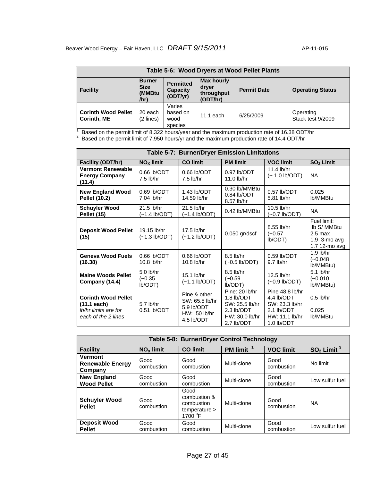| Table 5-6: Wood Dryers at Wood Pellet Plants     |                                                |                                          |                                                      |                    |                                |  |  |
|--------------------------------------------------|------------------------------------------------|------------------------------------------|------------------------------------------------------|--------------------|--------------------------------|--|--|
| <b>Facility</b>                                  | <b>Burner</b><br><b>Size</b><br>(MMBtu<br>/hr) | <b>Permitted</b><br>Capacity<br>(ODT/yr) | <b>Max hourly</b><br>dryer<br>throughput<br>(ODT/hr) | <b>Permit Date</b> | <b>Operating Status</b>        |  |  |
| <b>Corinth Wood Pellet</b><br><b>Corinth, ME</b> | 20 each<br>(2 lines)                           | Varies<br>based on<br>wood<br>species    | $11.1$ each                                          | 6/25/2009          | Operating<br>Stack test 9/2009 |  |  |

 $\frac{1}{1}$  Based on the permit limit of 8,322 hours/year and the maximum production rate of 16.38 ODT/hr<br> $^2$  Based on the permit limit of 7,950 hours/yr and the maximum production rate of 14.4 ODT/hr

|                                                                                            | <b>Table 5-7: Burner/Dryer Emission Limitations</b>                                  |                                                                            |                                                                                              |                                                                                               |                                                                          |  |  |  |  |  |
|--------------------------------------------------------------------------------------------|--------------------------------------------------------------------------------------|----------------------------------------------------------------------------|----------------------------------------------------------------------------------------------|-----------------------------------------------------------------------------------------------|--------------------------------------------------------------------------|--|--|--|--|--|
| Facility (ODT/hr)                                                                          | $NOX$ limit<br><b>CO limit</b><br><b>PM limit</b><br><b>VOC limit</b><br>$SO2$ Limit |                                                                            |                                                                                              |                                                                                               |                                                                          |  |  |  |  |  |
| <b>Vermont Renewable</b><br><b>Energy Company</b><br>(11.4)                                | 0.66 lb/ODT<br>$7.5$ lb/hr                                                           | $0.66$ lb/ODT<br>$7.5$ lb/hr                                               | $0.97$ lb/ODT<br>11.0 lb/hr                                                                  | 11.4 lb/hr<br>(~ 1.0 lb/ODT)                                                                  | <b>NA</b>                                                                |  |  |  |  |  |
| <b>New England Wood</b><br><b>Pellet (10.2)</b>                                            | $0.69$ lb/ODT<br>7.04 lb/hr                                                          | 1.43 lb/ODT<br>14.59 lb/hr                                                 | 0.30 lb/MMBtu<br>$0.84$ lb/ODT<br>8.57 lb/hr                                                 | $0.57$ lb/ODT<br>5.81 lb/hr                                                                   | 0.025<br>lb/MMBtu                                                        |  |  |  |  |  |
| <b>Schuyler Wood</b><br>Pellet (15)                                                        | 21.5 lb/hr<br>(~1.4 lb/ODT)                                                          | 21.5 lb/hr<br>$(-1.4 \text{ lb/ODT})$                                      | 0.42 lb/MMBtu                                                                                | 10.5 lb/hr<br>(~0.7 lb/ODT)                                                                   | <b>NA</b>                                                                |  |  |  |  |  |
| <b>Deposit Wood Pellet</b><br>(15)                                                         | 19.15 lb/hr<br>$(-1.3 \text{ lb/ODT})$                                               | 17.5 lb/hr<br>$(-1.2 \text{ lb/ODT})$                                      | $0.050$ gr/dscf                                                                              | 8.55 lb/hr<br>$(-0.57)$<br>Ib/ODT)                                                            | Fuel limit:<br>Ib S/ MMBtu<br>$2.5$ max<br>1.9 3-mo avg<br>1.7 12-mo avg |  |  |  |  |  |
| <b>Geneva Wood Fuels</b><br>(16.38)                                                        | $0.66$ lb/ODT<br>$10.8$ lb/hr                                                        | $0.66$ lb/ODT<br>$10.8$ lb/hr                                              | 8.5 lb/hr<br>$(-0.5 \text{ lb/ODT})$                                                         | $0.59$ lb/ODT<br>$9.7$ lb/hr                                                                  | $1.9$ lb/hr<br>$(-0.048)$<br>lb/MMBtu)                                   |  |  |  |  |  |
| <b>Maine Woods Pellet</b><br>Company (14.4)                                                | $5.0$ lb/hr<br>$(-0.35)$<br>Ib/ODT)                                                  | 15.1 lb/hr<br>$(-1.1 \text{ lb/ODT})$                                      | 8.5 lb/hr<br>$(-0.59)$<br>Ib/ODT)                                                            | 12.5 lb/hr<br>$(-0.9$ lb/ODT)                                                                 | $5.1$ lb/hr<br>$(-0.010)$<br>lb/MMBtu)                                   |  |  |  |  |  |
| <b>Corinth Wood Pellet</b><br>$(11.1$ each)<br>lb/hr limits are for<br>each of the 2 lines | 5.7 lb/hr<br>$0.51$ lb/ODT                                                           | Pine & other<br>SW: 65.5 lb/hr<br>5.9 lb/ODT<br>HW: 50 lb/hr<br>4.5 lb/ODT | Pine: 20 lb/hr<br>1.8 lb/ODT<br>SW: 25.5 lb/hr<br>2.3 lb/ODT<br>HW: 30.0 lb/hr<br>2.7 lb/ODT | Pine 48.8 lb/hr<br>4.4 lb/ODT<br>SW: 23.3 lb/hr<br>2.1 lb/ODT<br>HW: 11.1 lb/hr<br>1.0 lb/ODT | $0.5$ lb/hr<br>0.025<br>lb/MMBtu                                         |  |  |  |  |  |

| Table 5-8: Burner/Dryer Control Technology           |                                                                                                |                                                                         |             |                    |                 |  |  |  |  |
|------------------------------------------------------|------------------------------------------------------------------------------------------------|-------------------------------------------------------------------------|-------------|--------------------|-----------------|--|--|--|--|
| <b>Facility</b>                                      | PM limit <sup>1</sup><br>$SO2$ Limit $3$<br><b>VOC limit</b><br><b>CO</b> limit<br>$NOx$ limit |                                                                         |             |                    |                 |  |  |  |  |
| <b>Vermont</b><br><b>Renewable Energy</b><br>Company | Good<br>combustion                                                                             | Good<br>combustion                                                      | Multi-clone | Good<br>combustion | No limit        |  |  |  |  |
| <b>New England</b><br><b>Wood Pellet</b>             | Good<br>combustion                                                                             | Good<br>combustion                                                      | Multi-clone | Good<br>combustion | Low sulfur fuel |  |  |  |  |
| <b>Schuyler Wood</b><br><b>Pellet</b>                | Good<br>combustion                                                                             | Good<br>combustion &<br>combustion<br>temperature ><br>1700 $\degree$ F | Multi-clone | Good<br>combustion |                 |  |  |  |  |
| <b>Deposit Wood</b><br><b>Pellet</b>                 | Good<br>combustion                                                                             | Good<br>combustion                                                      | Multi-clone | Good<br>combustion | Low sulfur fuel |  |  |  |  |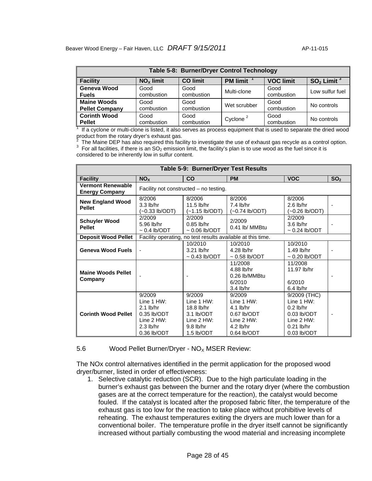| Table 5-8: Burner/Dryer Control Technology  |                    |                    |                      |                    |                 |  |  |  |
|---------------------------------------------|--------------------|--------------------|----------------------|--------------------|-----------------|--|--|--|
| <b>Facility</b>                             | $NOx$ limit        | <b>CO</b> limit    | <b>PM limit</b>      | <b>VOC limit</b>   | $SO2$ Limit $3$ |  |  |  |
| Geneva Wood<br><b>Fuels</b>                 | Good<br>combustion | Good<br>combustion | Multi-clone          | Good<br>combustion | Low sulfur fuel |  |  |  |
| <b>Maine Woods</b><br><b>Pellet Company</b> | Good<br>combustion | Good<br>combustion | Wet scrubber         | Good<br>combustion | No controls     |  |  |  |
| <b>Corinth Wood</b><br><b>Pellet</b>        | Good<br>combustion | Good<br>combustion | Cyclone <sup>2</sup> | Good<br>combustion | No controls     |  |  |  |

1 If a cyclone or multi-clone is listed, it also serves as process equipment that is used to separate the dried wood product from the rotary dryer's exhaust gas.

2  $^{\circ}$  The Maine DEP has also required this facility to investigate the use of exhaust gas recycle as a control option.<br> $^3$  For all facilities, if there is an SO<sub>2</sub> emission limit, the facility's plan is to use wood as t considered to be inherently low in sulfur content.

| Table 5-9: Burner/Dryer Test Results              |                                                                                                        |                                                                                                    |                                                                                                       |                                                                                                               |                 |  |  |  |  |
|---------------------------------------------------|--------------------------------------------------------------------------------------------------------|----------------------------------------------------------------------------------------------------|-------------------------------------------------------------------------------------------------------|---------------------------------------------------------------------------------------------------------------|-----------------|--|--|--|--|
| <b>Facility</b>                                   | NO <sub>X</sub>                                                                                        | CO                                                                                                 | <b>PM</b>                                                                                             | <b>VOC</b>                                                                                                    | SO <sub>2</sub> |  |  |  |  |
| <b>Vermont Renewable</b><br><b>Energy Company</b> |                                                                                                        | Facility not constructed – no testing.                                                             |                                                                                                       |                                                                                                               |                 |  |  |  |  |
| <b>New England Wood</b><br><b>Pellet</b>          | 8/2006<br>$3.3$ lb/hr<br>$-0.33$ lb/ODT)                                                               | 8/2006<br>$11.5$ lb/hr<br>(~1.15 lb/ODT)                                                           | 8/2006<br>$7.4$ lb/hr<br>(~0.74 lb/ODT)                                                               | 8/2006<br>$2.6$ lb/hr<br>(~0.26 lb/ODT)                                                                       |                 |  |  |  |  |
| <b>Schuyler Wood</b><br><b>Pellet</b>             | 2/2009<br>5.96 lb/hr<br>$\sim$ 0.4 lb/ODT                                                              | 2/2009<br>$0.85$ lb/hr<br>$\sim 0.06$ lb/ODT                                                       | 2/2009<br>0.41 lb/ MMBtu                                                                              | 2/2009<br>$3.6$ lb/hr<br>$\sim$ 0.24 lb/ODT                                                                   |                 |  |  |  |  |
| <b>Deposit Wood Pellet</b>                        |                                                                                                        |                                                                                                    | Facility operating, no test results available at this time.                                           |                                                                                                               |                 |  |  |  |  |
| <b>Geneva Wood Fuels</b>                          |                                                                                                        | 10/2010<br>$3.21$ lb/hr<br>$\sim$ 0.43 lb/ODT                                                      | 10/2010<br>4.28 lb/hr<br>$\sim$ 0.58 lb/ODT                                                           | 10/2010<br>1.49 lb/hr<br>$\sim 0.20$ lb/ODT                                                                   |                 |  |  |  |  |
| <b>Maine Woods Pellet</b><br>Company              |                                                                                                        |                                                                                                    | 11/2008<br>4.88 lb/hr<br>0.26 lb/MMBtu<br>6/2010<br>$3.4$ lb/hr                                       | 11/2008<br>11.97 lb/hr<br>6/2010<br>$6.4$ lb/hr                                                               |                 |  |  |  |  |
| <b>Corinth Wood Pellet</b>                        | 9/2009<br>Line $1$ HW:<br>$2.1$ lb/hr<br>$0.35$ lb/ODT<br>Line $2$ HW:<br>$2.3$ lb/hr<br>$0.36$ lb/ODT | 9/2009<br>Line $1$ HW:<br>18.8 lb/hr<br>3.1 lb/ODT<br>Line $2 HW$ :<br>$9.8$ lb/hr<br>1.5 $lb/ODT$ | 9/2009<br>Line $1 HW$ :<br>$4.1$ lb/hr<br>0.67 lb/ODT<br>Line $2$ HW:<br>$4.2$ lb/hr<br>$0.64$ lb/ODT | 9/2009 (THC)<br>Line $1$ HW:<br>$0.2$ lb/hr<br>$0.03$ lb/ODT<br>Line $2$ HW:<br>$0.21$ lb/hr<br>$0.03$ lb/ODT |                 |  |  |  |  |

#### 5.6 Wood Pellet Burner/Dryer -  $NO<sub>x</sub>$  MSER Review:

The NOx control alternatives identified in the permit application for the proposed wood dryer/burner, listed in order of effectiveness:

1. Selective catalytic reduction (SCR). Due to the high particulate loading in the burner's exhaust gas between the burner and the rotary dryer (where the combustion gases are at the correct temperature for the reaction), the catalyst would become fouled. If the catalyst is located after the proposed fabric filter, the temperature of the exhaust gas is too low for the reaction to take place without prohibitive levels of reheating. The exhaust temperatures exiting the dryers are much lower than for a conventional boiler. The temperature profile in the dryer itself cannot be significantly increased without partially combusting the wood material and increasing incomplete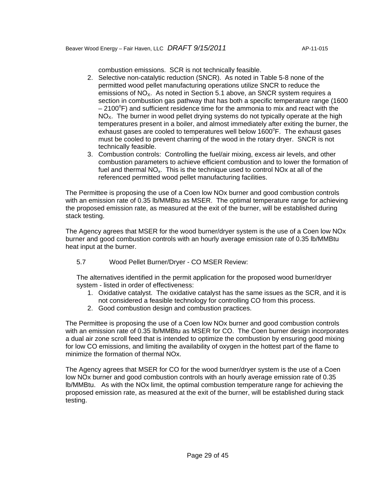combustion emissions. SCR is not technically feasible.

- 2. Selective non-catalytic reduction (SNCR). As noted in Table 5-8 none of the permitted wood pellet manufacturing operations utilize SNCR to reduce the emissions of  $NO<sub>x</sub>$ . As noted in Section 5.1 above, an SNCR system requires a section in combustion gas pathway that has both a specific temperature range (1600  $-2100^{\circ}$ F) and sufficient residence time for the ammonia to mix and react with the  $NO<sub>x</sub>$ . The burner in wood pellet drying systems do not typically operate at the high temperatures present in a boiler, and almost immediately after exiting the burner, the exhaust gases are cooled to temperatures well below 1600°F. The exhaust gases must be cooled to prevent charring of the wood in the rotary dryer. SNCR is not technically feasible.
- 3. Combustion controls: Controlling the fuel/air mixing, excess air levels, and other combustion parameters to achieve efficient combustion and to lower the formation of fuel and thermal  $NO<sub>x</sub>$ . This is the technique used to control NOx at all of the referenced permitted wood pellet manufacturing facilities.

The Permittee is proposing the use of a Coen low NOx burner and good combustion controls with an emission rate of 0.35 lb/MMBtu as MSER. The optimal temperature range for achieving the proposed emission rate, as measured at the exit of the burner, will be established during stack testing.

The Agency agrees that MSER for the wood burner/dryer system is the use of a Coen low NOx burner and good combustion controls with an hourly average emission rate of 0.35 lb/MMBtu heat input at the burner.

5.7 Wood Pellet Burner/Dryer - CO MSER Review:

The alternatives identified in the permit application for the proposed wood burner/dryer system - listed in order of effectiveness:

- 1. Oxidative catalyst. The oxidative catalyst has the same issues as the SCR, and it is not considered a feasible technology for controlling CO from this process.
- 2. Good combustion design and combustion practices.

The Permittee is proposing the use of a Coen low NOx burner and good combustion controls with an emission rate of 0.35 lb/MMBtu as MSER for CO. The Coen burner design incorporates a dual air zone scroll feed that is intended to optimize the combustion by ensuring good mixing for low CO emissions, and limiting the availability of oxygen in the hottest part of the flame to minimize the formation of thermal NOx.

The Agency agrees that MSER for CO for the wood burner/dryer system is the use of a Coen low NOx burner and good combustion controls with an hourly average emission rate of 0.35 lb/MMBtu. As with the NOx limit, the optimal combustion temperature range for achieving the proposed emission rate, as measured at the exit of the burner, will be established during stack testing.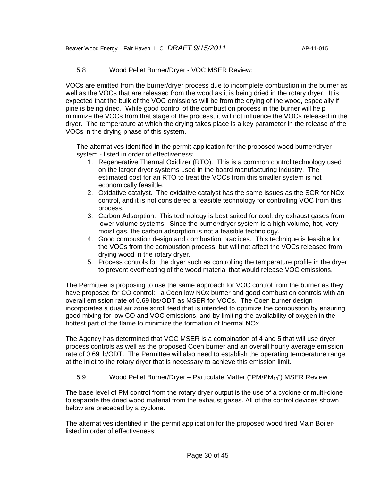# 5.8 Wood Pellet Burner/Dryer - VOC MSER Review:

VOCs are emitted from the burner/dryer process due to incomplete combustion in the burner as well as the VOCs that are released from the wood as it is being dried in the rotary dryer. It is expected that the bulk of the VOC emissions will be from the drying of the wood, especially if pine is being dried. While good control of the combustion process in the burner will help minimize the VOCs from that stage of the process, it will not influence the VOCs released in the dryer. The temperature at which the drying takes place is a key parameter in the release of the VOCs in the drying phase of this system.

The alternatives identified in the permit application for the proposed wood burner/dryer system - listed in order of effectiveness:

- 1. Regenerative Thermal Oxidizer (RTO). This is a common control technology used on the larger dryer systems used in the board manufacturing industry. The estimated cost for an RTO to treat the VOCs from this smaller system is not economically feasible.
- 2. Oxidative catalyst. The oxidative catalyst has the same issues as the SCR for NOx control, and it is not considered a feasible technology for controlling VOC from this process.
- 3. Carbon Adsorption: This technology is best suited for cool, dry exhaust gases from lower volume systems. Since the burner/dryer system is a high volume, hot, very moist gas, the carbon adsorption is not a feasible technology.
- 4. Good combustion design and combustion practices. This technique is feasible for the VOCs from the combustion process, but will not affect the VOCs released from drying wood in the rotary dryer.
- 5. Process controls for the dryer such as controlling the temperature profile in the dryer to prevent overheating of the wood material that would release VOC emissions.

The Permittee is proposing to use the same approach for VOC control from the burner as they have proposed for CO control: a Coen low NOx burner and good combustion controls with an overall emission rate of 0.69 lbs/ODT as MSER for VOCs. The Coen burner design incorporates a dual air zone scroll feed that is intended to optimize the combustion by ensuring good mixing for low CO and VOC emissions, and by limiting the availability of oxygen in the hottest part of the flame to minimize the formation of thermal NOx.

The Agency has determined that VOC MSER is a combination of 4 and 5 that will use dryer process controls as well as the proposed Coen burner and an overall hourly average emission rate of 0.69 lb/ODT. The Permittee will also need to establish the operating temperature range at the inlet to the rotary dryer that is necessary to achieve this emission limit.

# 5.9 Wood Pellet Burner/Dryer – Particulate Matter ("PM/PM $_{10}$ ") MSER Review

The base level of PM control from the rotary dryer output is the use of a cyclone or multi-clone to separate the dried wood material from the exhaust gases. All of the control devices shown below are preceded by a cyclone.

The alternatives identified in the permit application for the proposed wood fired Main Boilerlisted in order of effectiveness: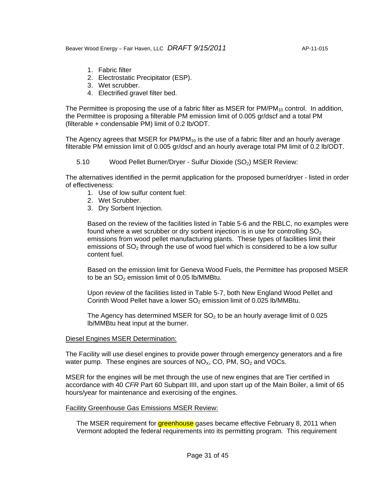Beaver Wood Energy – Fair Haven, LLC *DRAFT 9/15/2011* AP-11-015

- 1. Fabric filter
- 2. Electrostatic Precipitator (ESP).
- 3. Wet scrubber.
- 4. Electrified gravel filter bed.

The Permittee is proposing the use of a fabric filter as MSER for  $PM/PM_{10}$  control. In addition, the Permittee is proposing a filterable PM emission limit of 0.005 gr/dscf and a total PM (filterable + condensable PM) limit of 0.2 lb/ODT.

The Agency agrees that MSER for  $PM/PM_{10}$  is the use of a fabric filter and an hourly average filterable PM emission limit of 0.005 gr/dscf and an hourly average total PM limit of 0.2 lb/ODT.

5.10 Wood Pellet Burner/Dryer - Sulfur Dioxide (SO<sub>2</sub>) MSER Review:

The alternatives identified in the permit application for the proposed burner/dryer - listed in order of effectiveness:

- 1. Use of low sulfur content fuel:
- 2. Wet Scrubber.
- 3. Dry Sorbent Injection.

Based on the review of the facilities listed in Table 5-6 and the RBLC, no examples were found where a wet scrubber or dry sorbent injection is in use for controlling  $SO<sub>2</sub>$ emissions from wood pellet manufacturing plants. These types of facilities limit their emissions of  $SO<sub>2</sub>$  through the use of wood fuel which is considered to be a low sulfur content fuel.

Based on the emission limit for Geneva Wood Fuels, the Permittee has proposed MSER to be an  $SO<sub>2</sub>$  emission limit of 0.05 lb/MMBtu.

Upon review of the facilities listed in Table 5-7, both New England Wood Pellet and Corinth Wood Pellet have a lower  $SO<sub>2</sub>$  emission limit of 0.025 lb/MMBtu.

The Agency has determined MSER for  $SO<sub>2</sub>$  to be an hourly average limit of 0.025 lb/MMBtu heat input at the burner.

#### Diesel Engines MSER Determination:

The Facility will use diesel engines to provide power through emergency generators and a fire water pump. These engines are sources of  $NO_{X}$ , CO, PM,  $SO_{2}$  and VOCs.

MSER for the engines will be met through the use of new engines that are Tier certified in accordance with 40 *CFR* Part 60 Subpart IIII, and upon start up of the Main Boiler, a limit of 65 hours/year for maintenance and exercising of the engines.

#### Facility Greenhouse Gas Emissions MSER Review:

The MSER requirement for **greenhouse** gases became effective February 8, 2011 when Vermont adopted the federal requirements into its permitting program. This requirement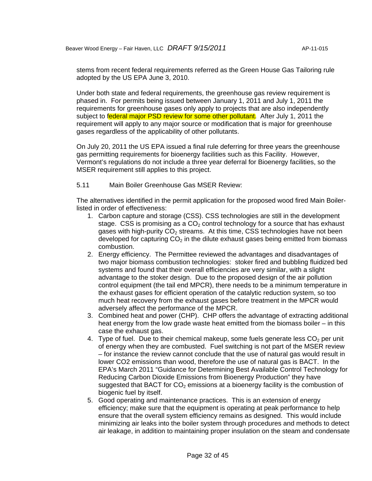stems from recent federal requirements referred as the Green House Gas Tailoring rule adopted by the US EPA June 3, 2010.

Under both state and federal requirements, the greenhouse gas review requirement is phased in. For permits being issued between January 1, 2011 and July 1, 2011 the requirements for greenhouse gases only apply to projects that are also independently subject to federal major PSD review for some other pollutant. After July 1, 2011 the requirement will apply to any major source or modification that is major for greenhouse gases regardless of the applicability of other pollutants.

On July 20, 2011 the US EPA issued a final rule deferring for three years the greenhouse gas permitting requirements for bioenergy facilities such as this Facility. However, Vermont's regulations do not include a three year deferral for Bioenergy facilities, so the MSER requirement still applies to this project.

#### 5.11 Main Boiler Greenhouse Gas MSER Review:

The alternatives identified in the permit application for the proposed wood fired Main Boilerlisted in order of effectiveness:

- 1. Carbon capture and storage (CSS). CSS technologies are still in the development stage. CSS is promising as a  $CO<sub>2</sub>$  control technology for a source that has exhaust gases with high-purity  $CO<sub>2</sub>$  streams. At this time, CSS technologies have not been developed for capturing  $CO<sub>2</sub>$  in the dilute exhaust gases being emitted from biomass combustion.
- 2. Energy efficiency. The Permittee reviewed the advantages and disadvantages of two major biomass combustion technologies: stoker fired and bubbling fluidized bed systems and found that their overall efficiencies are very similar, with a slight advantage to the stoker design. Due to the proposed design of the air pollution control equipment (the tail end MPCR), there needs to be a minimum temperature in the exhaust gases for efficient operation of the catalytic reduction system, so too much heat recovery from the exhaust gases before treatment in the MPCR would adversely affect the performance of the MPCR.
- 3. Combined heat and power (CHP). CHP offers the advantage of extracting additional heat energy from the low grade waste heat emitted from the biomass boiler – in this case the exhaust gas.
- 4. Type of fuel. Due to their chemical makeup, some fuels generate less  $CO<sub>2</sub>$  per unit of energy when they are combusted. Fuel switching is not part of the MSER review – for instance the review cannot conclude that the use of natural gas would result in lower CO2 emissions than wood, therefore the use of natural gas is BACT. In the EPA's March 2011 "Guidance for Determining Best Available Control Technology for Reducing Carbon Dioxide Emissions from Bioenergy Production" they have suggested that BACT for  $CO<sub>2</sub>$  emissions at a bioenergy facility is the combustion of biogenic fuel by itself.
- 5. Good operating and maintenance practices. This is an extension of energy efficiency; make sure that the equipment is operating at peak performance to help ensure that the overall system efficiency remains as designed. This would include minimizing air leaks into the boiler system through procedures and methods to detect air leakage, in addition to maintaining proper insulation on the steam and condensate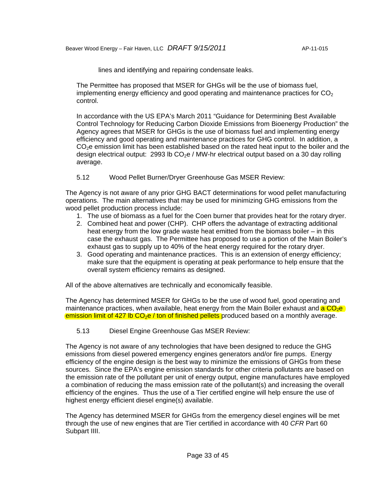lines and identifying and repairing condensate leaks.

The Permittee has proposed that MSER for GHGs will be the use of biomass fuel, implementing energy efficiency and good operating and maintenance practices for  $CO<sub>2</sub>$ control.

In accordance with the US EPA's March 2011 "Guidance for Determining Best Available Control Technology for Reducing Carbon Dioxide Emissions from Bioenergy Production" the Agency agrees that MSER for GHGs is the use of biomass fuel and implementing energy efficiency and good operating and maintenance practices for GHG control. In addition, a  $CO<sub>2</sub>e$  emission limit has been established based on the rated heat input to the boiler and the design electrical output: 2993 lb  $CO<sub>2</sub>e$  / MW-hr electrical output based on a 30 day rolling average.

# 5.12 Wood Pellet Burner/Dryer Greenhouse Gas MSER Review:

The Agency is not aware of any prior GHG BACT determinations for wood pellet manufacturing operations. The main alternatives that may be used for minimizing GHG emissions from the wood pellet production process include:

- 1. The use of biomass as a fuel for the Coen burner that provides heat for the rotary dryer.
- 2. Combined heat and power (CHP). CHP offers the advantage of extracting additional heat energy from the low grade waste heat emitted from the biomass boiler – in this case the exhaust gas. The Permittee has proposed to use a portion of the Main Boiler's exhaust gas to supply up to 40% of the heat energy required for the rotary dryer.
- 3. Good operating and maintenance practices. This is an extension of energy efficiency; make sure that the equipment is operating at peak performance to help ensure that the overall system efficiency remains as designed.

All of the above alternatives are technically and economically feasible.

The Agency has determined MSER for GHGs to be the use of wood fuel, good operating and maintenance practices, when available, heat energy from the Main Boiler exhaust and a CO<sub>2</sub>e emission limit of 427 lb  $CO<sub>2</sub>e$  / ton of finished pellets produced based on a monthly average.

5.13 Diesel Engine Greenhouse Gas MSER Review:

The Agency is not aware of any technologies that have been designed to reduce the GHG emissions from diesel powered emergency engines generators and/or fire pumps. Energy efficiency of the engine design is the best way to minimize the emissions of GHGs from these sources. Since the EPA's engine emission standards for other criteria pollutants are based on the emission rate of the pollutant per unit of energy output, engine manufactures have employed a combination of reducing the mass emission rate of the pollutant(s) and increasing the overall efficiency of the engines. Thus the use of a Tier certified engine will help ensure the use of highest energy efficient diesel engine(s) available.

The Agency has determined MSER for GHGs from the emergency diesel engines will be met through the use of new engines that are Tier certified in accordance with 40 *CFR* Part 60 Subpart IIII.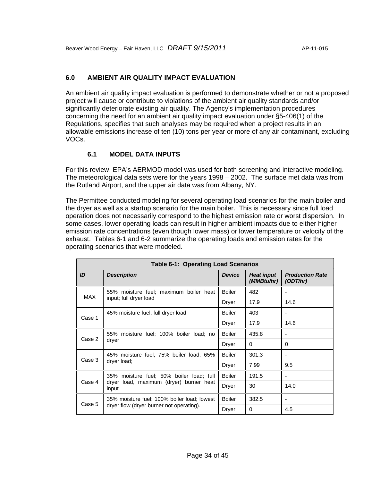# **6.0 AMBIENT AIR QUALITY IMPACT EVALUATION**

An ambient air quality impact evaluation is performed to demonstrate whether or not a proposed project will cause or contribute to violations of the ambient air quality standards and/or significantly deteriorate existing air quality. The Agency's implementation procedures concerning the need for an ambient air quality impact evaluation under §5-406(1) of the Regulations, specifies that such analyses may be required when a project results in an allowable emissions increase of ten (10) tons per year or more of any air contaminant, excluding VOCs.

### **6.1 MODEL DATA INPUTS**

For this review, EPA's AERMOD model was used for both screening and interactive modeling. The meteorological data sets were for the years 1998 – 2002. The surface met data was from the Rutland Airport, and the upper air data was from Albany, NY.

The Permittee conducted modeling for several operating load scenarios for the main boiler and the dryer as well as a startup scenario for the main boiler. This is necessary since full load operation does not necessarily correspond to the highest emission rate or worst dispersion. In some cases, lower operating loads can result in higher ambient impacts due to either higher emission rate concentrations (even though lower mass) or lower temperature or velocity of the exhaust. Tables 6-1 and 6-2 summarize the operating loads and emission rates for the operating scenarios that were modeled.

|        | <b>Table 6-1: Operating Load Scenarios</b>       |               |                                 |                                    |  |  |  |  |  |  |
|--------|--------------------------------------------------|---------------|---------------------------------|------------------------------------|--|--|--|--|--|--|
| ID     | <b>Description</b>                               | <b>Device</b> | <b>Heat input</b><br>(MMBtu/hr) | <b>Production Rate</b><br>(ODT/hr) |  |  |  |  |  |  |
| MAX    | 55% moisture fuel; maximum boiler heat           | Boiler        | 482                             |                                    |  |  |  |  |  |  |
|        | input; full dryer load                           | Dryer         | 17.9                            | 14.6                               |  |  |  |  |  |  |
|        | 45% moisture fuel; full dryer load               | Boiler        | 403                             |                                    |  |  |  |  |  |  |
| Case 1 |                                                  | Dryer         | 17.9                            | 14.6                               |  |  |  |  |  |  |
| Case 2 | 55% moisture fuel; 100% boiler load; no          | Boiler        | 435.8                           |                                    |  |  |  |  |  |  |
|        | dryer                                            | Dryer         | $\Omega$                        | $\Omega$                           |  |  |  |  |  |  |
| Case 3 | 45% moisture fuel: 75% boiler load: 65%          | Boiler        | 301.3                           |                                    |  |  |  |  |  |  |
|        | dryer load;                                      | Dryer         | 7.99                            | 9.5                                |  |  |  |  |  |  |
|        | 35% moisture fuel; 50% boiler load; full         | Boiler        | 191.5                           |                                    |  |  |  |  |  |  |
| Case 4 | dryer load, maximum (dryer) burner heat<br>input | Dryer         | 30                              | 14.0                               |  |  |  |  |  |  |
| Case 5 | 35% moisture fuel; 100% boiler load; lowest      | Boiler        | 382.5                           |                                    |  |  |  |  |  |  |
|        | dryer flow (dryer burner not operating).         | Dryer         | 0                               | 4.5                                |  |  |  |  |  |  |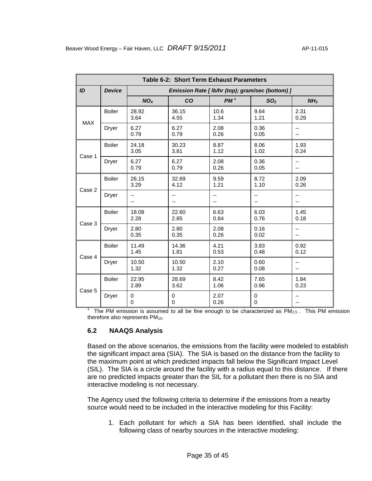| Table 6-2: Short Term Exhaust Parameters |               |                        |                                                  |                 |                          |                 |  |  |  |  |
|------------------------------------------|---------------|------------------------|--------------------------------------------------|-----------------|--------------------------|-----------------|--|--|--|--|
| ID                                       | <b>Device</b> |                        | Emission Rate [ lb/hr (top); gram/sec (bottom) ] |                 |                          |                 |  |  |  |  |
|                                          |               | NO <sub>x</sub>        | CO                                               | PM <sup>1</sup> | SO <sub>2</sub>          | NH <sub>3</sub> |  |  |  |  |
| <b>MAX</b>                               | <b>Boiler</b> | 28.92<br>3.64          | 36.15<br>4.55                                    | 10.6<br>1.34    | 9.64<br>1.21             | 2.31<br>0.29    |  |  |  |  |
|                                          | Dryer         | 6.27<br>0.79           | 6.27<br>0.79                                     | 2.08<br>0.26    | 0.36<br>0.05             | --<br>--        |  |  |  |  |
| Case 1                                   | <b>Boiler</b> | 24.18<br>3.05          | 30.23<br>3.81                                    | 8.87<br>1.12    | 8.06<br>1.02             | 1.93<br>0.24    |  |  |  |  |
|                                          | <b>Dryer</b>  | 6.27<br>0.79           | 6.27<br>0.79                                     | 2.08<br>0.26    | 0.36<br>0.05             | --<br>--        |  |  |  |  |
| Case 2                                   | <b>Boiler</b> | 26.15<br>3.29          | 32.69<br>4.12                                    | 9.59<br>1.21    | 8.72<br>1.10             | 2.09<br>0.26    |  |  |  |  |
|                                          | <b>Dryer</b>  | --<br>--               | --<br>--                                         | --<br>--        | --<br>--                 | --              |  |  |  |  |
| Case 3                                   | <b>Boiler</b> | 18.08<br>2.28          | 22.60<br>2.85                                    | 6.63<br>0.84    | 6.03<br>0.76             | 1.45<br>0.18    |  |  |  |  |
|                                          | Dryer         | 2.80<br>0.35           | 2.80<br>0.35                                     | 2.08<br>0.26    | 0.16<br>0.02             | --<br>--        |  |  |  |  |
| Case 4                                   | <b>Boiler</b> | 11.49<br>1.45          | 14.36<br>1.81                                    | 4.21<br>0.53    | 3.83<br>0.48             | 0.92<br>0.12    |  |  |  |  |
|                                          | Dryer         | 10.50<br>1.32          | 10.50<br>1.32                                    | 2.10<br>0.27    | 0.60<br>0.08             | $-$<br>--       |  |  |  |  |
| Case 5                                   | <b>Boiler</b> | 22.95<br>2.89          | 28.69<br>3.62                                    | 8.42<br>1.06    | 7.65<br>0.96             | 1.84<br>0.23    |  |  |  |  |
|                                          | Dryer         | $\pmb{0}$<br>$\pmb{0}$ | $\pmb{0}$<br>$\pmb{0}$                           | 2.07<br>0.26    | $\pmb{0}$<br>$\mathbf 0$ | --              |  |  |  |  |

1 The PM emission is assumed to all be fine enough to be characterized as  $PM_{2.5}$ . This PM emission therefore also represents  $PM<sub>10</sub>$ .

# **6.2 NAAQS Analysis**

Based on the above scenarios, the emissions from the facility were modeled to establish the significant impact area (SIA). The SIA is based on the distance from the facility to the maximum point at which predicted impacts fall below the Significant Impact Level (SIL). The SIA is a circle around the facility with a radius equal to this distance. If there are no predicted impacts greater than the SIL for a pollutant then there is no SIA and interactive modeling is not necessary.

The Agency used the following criteria to determine if the emissions from a nearby source would need to be included in the interactive modeling for this Facility:

1. Each pollutant for which a SIA has been identified, shall include the following class of nearby sources in the interactive modeling: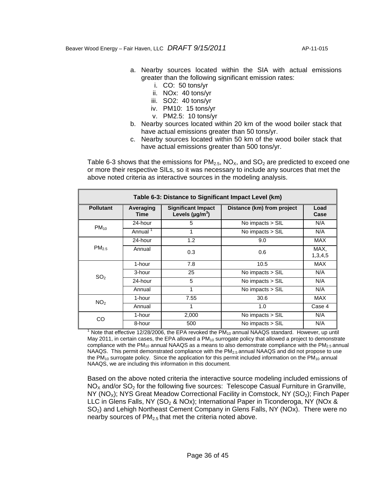- a. Nearby sources located within the SIA with actual emissions greater than the following significant emission rates:
	- i. CO: 50 tons/yr
	- ii. NOx: 40 tons/yr
	- iii. SO2: 40 tons/yr
	- iv. PM10: 15 tons/yr
	- v. PM2.5: 10 tons/yr
- b. Nearby sources located within 20 km of the wood boiler stack that have actual emissions greater than 50 tons/yr.
- c. Nearby sources located within 50 km of the wood boiler stack that have actual emissions greater than 500 tons/yr.

Table 6-3 shows that the emissions for  $PM_{2.5}$ , NO<sub> $\chi$ </sub>, and SO<sub>2</sub> are predicted to exceed one or more their respective SILs, so it was necessary to include any sources that met the above noted criteria as interactive sources in the modeling analysis.

| Table 6-3: Distance to Significant Impact Level (km) |                   |                                                                |                            |                 |  |  |  |  |  |
|------------------------------------------------------|-------------------|----------------------------------------------------------------|----------------------------|-----------------|--|--|--|--|--|
| <b>Pollutant</b>                                     | Averaging<br>Time | <b>Significant Impact</b><br>Levels ( $\mu$ g/m <sup>3</sup> ) | Distance (km) from project | Load<br>Case    |  |  |  |  |  |
| $PM_{10}$                                            | 24-hour           | 5                                                              | No impacts > SIL           | N/A             |  |  |  |  |  |
|                                                      | Annual '          | 1                                                              | No impacts > SIL           | N/A             |  |  |  |  |  |
|                                                      | 24-hour           | 1.2                                                            | 9.0                        | MAX             |  |  |  |  |  |
| PM <sub>25</sub>                                     | Annual            | 0.3                                                            | 0.6                        | MAX.<br>1,3,4,5 |  |  |  |  |  |
|                                                      | 1-hour            | 7.8                                                            | 10.5                       | <b>MAX</b>      |  |  |  |  |  |
| SO <sub>2</sub>                                      | 3-hour            | 25                                                             | No impacts > SIL           | N/A             |  |  |  |  |  |
|                                                      | 24-hour           | 5                                                              | No impacts > SIL           | N/A             |  |  |  |  |  |
|                                                      | Annual            | 1                                                              | No impacts > SIL           | N/A             |  |  |  |  |  |
| NO <sub>2</sub>                                      | 1-hour            | 7.55                                                           | 30.6                       | MAX             |  |  |  |  |  |
|                                                      | Annual            | 1                                                              | 1.0                        | Case 4          |  |  |  |  |  |
| CO                                                   | 1-hour            | 2,000                                                          | No impacts > SIL           | N/A             |  |  |  |  |  |
|                                                      | 8-hour            | 500                                                            | No impacts > SIL           | N/A             |  |  |  |  |  |

<sup>1</sup> Note that effective 12/28/2006, the EPA revoked the PM<sub>10</sub> annual NAAQS standard. However, up until May 2011, in certain cases, the EPA allowed a  $PM_{10}$  surrogate policy that allowed a project to demonstrate compliance with the  $PM_{10}$  annual NAAQS as a means to also demonstrate compliance with the  $PM_{2.5}$  annual NAAQS. This permit demonstrated compliance with the PM<sub>2.5</sub> annual NAAQS and did not propose to use the PM<sub>10</sub> surrogate policy. Since the application for this permit included information on the PM<sub>10</sub> annual NAAQS, we are including this information in this document.

Based on the above noted criteria the interactive source modeling included emissions of  $NO<sub>x</sub>$  and/or SO<sub>2</sub> for the following five sources: Telescope Casual Furniture in Granville,  $NY (NO<sub>x</sub>)$ ; NYS Great Meadow Correctional Facility in Comstock, NY (SO<sub>2</sub>); Finch Paper LLC in Glens Falls, NY (SO<sub>2</sub> & NOx); International Paper in Ticonderoga, NY (NOx & SO<sub>2</sub>) and Lehigh Northeast Cement Company in Glens Falls, NY (NOx). There were no nearby sources of  $PM<sub>2.5</sub>$  that met the criteria noted above.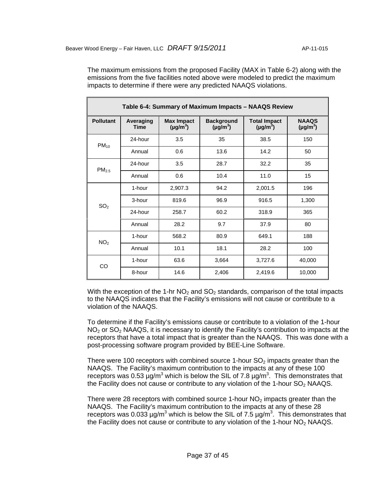The maximum emissions from the proposed Facility (MAX in Table 6-2) along with the emissions from the five facilities noted above were modeled to predict the maximum impacts to determine if there were any predicted NAAQS violations.

| Table 6-4: Summary of Maximum Impacts - NAAQS Review |                          |                                                                          |       |                                      |                               |  |  |  |  |  |
|------------------------------------------------------|--------------------------|--------------------------------------------------------------------------|-------|--------------------------------------|-------------------------------|--|--|--|--|--|
| <b>Pollutant</b>                                     | Averaging<br><b>Time</b> | <b>Max Impact</b><br><b>Background</b><br>$(\mu g/m^3)$<br>$(\mu g/m^3)$ |       | <b>Total Impact</b><br>$(\mu g/m^3)$ | <b>NAAQS</b><br>$(\mu g/m^3)$ |  |  |  |  |  |
| $PM_{10}$                                            | 24-hour                  | 3.5                                                                      | 35    | 38.5                                 | 150                           |  |  |  |  |  |
|                                                      | Annual                   | 0.6                                                                      | 13.6  | 14.2                                 | 50                            |  |  |  |  |  |
| PM <sub>2.5</sub>                                    | 24-hour                  | 3.5                                                                      | 28.7  | 32.2                                 | 35                            |  |  |  |  |  |
|                                                      | Annual                   | 0.6                                                                      | 10.4  | 11.0                                 | 15                            |  |  |  |  |  |
|                                                      | 1-hour                   | 2,907.3                                                                  | 94.2  | 2,001.5                              | 196                           |  |  |  |  |  |
| SO <sub>2</sub>                                      | 3-hour                   | 819.6                                                                    | 96.9  | 916.5                                | 1,300                         |  |  |  |  |  |
|                                                      | 24-hour                  | 258.7                                                                    | 60.2  | 318.9                                | 365                           |  |  |  |  |  |
|                                                      | Annual                   | 28.2                                                                     | 9.7   | 37.9                                 | 80                            |  |  |  |  |  |
| NO <sub>2</sub>                                      | 1-hour                   | 568.2                                                                    | 80.9  | 649.1                                | 188                           |  |  |  |  |  |
|                                                      | Annual                   | 10.1                                                                     | 18.1  | 28.2                                 | 100                           |  |  |  |  |  |
| CO                                                   | 1-hour                   | 63.6                                                                     | 3,664 | 3,727.6                              | 40,000                        |  |  |  |  |  |
|                                                      | 8-hour                   | 14.6                                                                     | 2,406 | 2,419.6                              | 10,000                        |  |  |  |  |  |

With the exception of the 1-hr  $NO<sub>2</sub>$  and  $SO<sub>2</sub>$  standards, comparison of the total impacts to the NAAQS indicates that the Facility's emissions will not cause or contribute to a violation of the NAAQS.

To determine if the Facility's emissions cause or contribute to a violation of the 1-hour  $NO<sub>2</sub>$  or  $SO<sub>2</sub>$  NAAQS, it is necessary to identify the Facility's contribution to impacts at the receptors that have a total impact that is greater than the NAAQS. This was done with a post-processing software program provided by BEE-Line Software.

There were 100 receptors with combined source 1-hour  $SO<sub>2</sub>$  impacts greater than the NAAQS. The Facility's maximum contribution to the impacts at any of these 100 receptors was 0.53  $\mu$ g/m<sup>3</sup> which is below the SIL of 7.8  $\mu$ g/m<sup>3</sup>. This demonstrates that the Facility does not cause or contribute to any violation of the 1-hour  $SO<sub>2</sub>$  NAAQS.

There were 28 receptors with combined source 1-hour  $NO<sub>2</sub>$  impacts greater than the NAAQS. The Facility's maximum contribution to the impacts at any of these 28 receptors was 0.033  $\mu$ g/m<sup>3</sup> which is below the SIL of 7.5  $\mu$ g/m<sup>3</sup>. This demonstrates that the Facility does not cause or contribute to any violation of the 1-hour  $NO<sub>2</sub>$  NAAQS.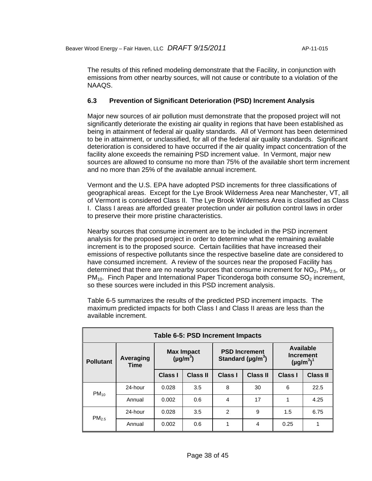The results of this refined modeling demonstrate that the Facility, in conjunction with emissions from other nearby sources, will not cause or contribute to a violation of the NAAQS.

# **6.3 Prevention of Significant Deterioration (PSD) Increment Analysis**

Major new sources of air pollution must demonstrate that the proposed project will not significantly deteriorate the existing air quality in regions that have been established as being in attainment of federal air quality standards. All of Vermont has been determined to be in attainment, or unclassified, for all of the federal air quality standards. Significant deterioration is considered to have occurred if the air quality impact concentration of the facility alone exceeds the remaining PSD increment value. In Vermont, major new sources are allowed to consume no more than 75% of the available short term increment and no more than 25% of the available annual increment.

Vermont and the U.S. EPA have adopted PSD increments for three classifications of geographical areas. Except for the Lye Brook Wilderness Area near Manchester, VT, all of Vermont is considered Class II. The Lye Brook Wilderness Area is classified as Class I. Class I areas are afforded greater protection under air pollution control laws in order to preserve their more pristine characteristics.

Nearby sources that consume increment are to be included in the PSD increment analysis for the proposed project in order to determine what the remaining available increment is to the proposed source. Certain facilities that have increased their emissions of respective pollutants since the respective baseline date are considered to have consumed increment. A review of the sources near the proposed Facility has determined that there are no nearby sources that consume increment for  $NO<sub>2</sub>$ ,  $PM<sub>2.5</sub>$ , or  $PM_{10}$ . Finch Paper and International Paper Ticonderoga both consume  $SO_2$  increment, so these sources were included in this PSD increment analysis.

| Table 6-5: PSD Increment Impacts |                          |                                    |                 |                                                             |                 |                                                  |                 |  |  |  |
|----------------------------------|--------------------------|------------------------------------|-----------------|-------------------------------------------------------------|-----------------|--------------------------------------------------|-----------------|--|--|--|
| <b>Pollutant</b>                 | Averaging<br><b>Time</b> | <b>Max Impact</b><br>$(\mu g/m^3)$ |                 | <b>PSD Increment</b><br>Standard ( $\mu$ g/m <sup>3</sup> ) |                 | Available<br><b>Increment</b><br>$(\mu g/m^3)^1$ |                 |  |  |  |
|                                  |                          | <b>Class I</b>                     | <b>Class II</b> | <b>Class I</b>                                              | <b>Class II</b> | <b>Class I</b>                                   | <b>Class II</b> |  |  |  |
| $PM_{10}$                        | 24-hour                  | 0.028                              | 3.5             | 8                                                           | 30              | 6                                                | 22.5            |  |  |  |
|                                  | Annual                   | 0.002                              | 0.6             | 4                                                           | 17              | 1                                                | 4.25            |  |  |  |
| PM <sub>2.5</sub>                | 24-hour                  | 0.028                              | 3.5             | $\mathfrak{p}$                                              | 9               | 1.5                                              | 6.75            |  |  |  |
|                                  | Annual                   | 0.002                              | 0.6             |                                                             | 4               | 0.25                                             | 1               |  |  |  |

Table 6-5 summarizes the results of the predicted PSD increment impacts. The maximum predicted impacts for both Class I and Class II areas are less than the available increment.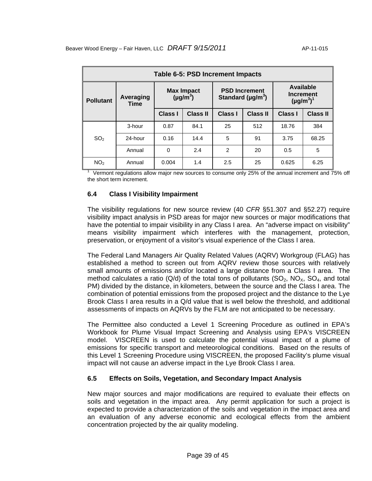| Table 6-5: PSD Increment Impacts |                          |                                    |                 |                                                             |                 |                                                  |                 |  |  |
|----------------------------------|--------------------------|------------------------------------|-----------------|-------------------------------------------------------------|-----------------|--------------------------------------------------|-----------------|--|--|
| <b>Pollutant</b>                 | Averaging<br><b>Time</b> | <b>Max Impact</b><br>$(\mu g/m^3)$ |                 | <b>PSD Increment</b><br>Standard ( $\mu$ g/m <sup>3</sup> ) |                 | Available<br><b>Increment</b><br>$(\mu g/m^3)^1$ |                 |  |  |
|                                  |                          | Class I                            | <b>Class II</b> | Class I                                                     | <b>Class II</b> | Class I                                          | <b>Class II</b> |  |  |
| SO <sub>2</sub>                  | 3-hour                   | 0.87                               | 84.1            | 25                                                          | 512             | 18.76                                            | 384             |  |  |
|                                  | 24-hour                  | 0.16                               | 14.4            | 5                                                           | 91              | 3.75                                             | 68.25           |  |  |
|                                  | Annual                   | $\Omega$                           | 2.4             | $\mathfrak{p}$                                              | 20              | 0.5                                              | 5               |  |  |
| NO <sub>2</sub>                  | Annual                   | 0.004                              | 1.4             | 2.5                                                         | 25              | 0.625                                            | 6.25            |  |  |

1 Vermont regulations allow major new sources to consume only 25% of the annual increment and 75% off the short term increment.

# **6.4 Class I Visibility Impairment**

The visibility regulations for new source review (40 *CFR* §51.307 and §52.27) require visibility impact analysis in PSD areas for major new sources or major modifications that have the potential to impair visibility in any Class I area. An "adverse impact on visibility" means visibility impairment which interferes with the management, protection, preservation, or enjoyment of a visitor's visual experience of the Class I area.

The Federal Land Managers Air Quality Related Values (AQRV) Workgroup (FLAG) has established a method to screen out from AQRV review those sources with relatively small amounts of emissions and/or located a large distance from a Class I area. The method calculates a ratio ( $Q/d$ ) of the total tons of pollutants ( $SQ<sub>2</sub>$ ,  $NQ<sub>x</sub>$ ,  $SQ<sub>4</sub>$ , and total PM) divided by the distance, in kilometers, between the source and the Class I area. The combination of potential emissions from the proposed project and the distance to the Lye Brook Class I area results in a Q/d value that is well below the threshold, and additional assessments of impacts on AQRVs by the FLM are not anticipated to be necessary.

The Permittee also conducted a Level 1 Screening Procedure as outlined in EPA's Workbook for Plume Visual Impact Screening and Analysis using EPA's VISCREEN model. VISCREEN is used to calculate the potential visual impact of a plume of emissions for specific transport and meteorological conditions. Based on the results of this Level 1 Screening Procedure using VISCREEN, the proposed Facility's plume visual impact will not cause an adverse impact in the Lye Brook Class I area.

# **6.5 Effects on Soils, Vegetation, and Secondary Impact Analysis**

New major sources and major modifications are required to evaluate their effects on soils and vegetation in the impact area. Any permit application for such a project is expected to provide a characterization of the soils and vegetation in the impact area and an evaluation of any adverse economic and ecological effects from the ambient concentration projected by the air quality modeling.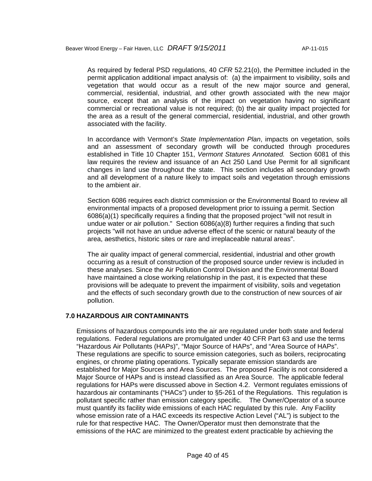As required by federal PSD regulations, 40 *CFR* 52.21(o), the Permittee included in the permit application additional impact analysis of: (a) the impairment to visibility, soils and vegetation that would occur as a result of the new major source and general, commercial, residential, industrial, and other growth associated with the new major source, except that an analysis of the impact on vegetation having no significant commercial or recreational value is not required; (b) the air quality impact projected for the area as a result of the general commercial, residential, industrial, and other growth associated with the facility.

In accordance with Vermont's *State Implementation Plan*, impacts on vegetation, soils and an assessment of secondary growth will be conducted through procedures established in Title 10 Chapter 151, *Vermont Statures Annotated.* Section 6081 of this law requires the review and issuance of an Act 250 Land Use Permit for all significant changes in land use throughout the state. This section includes all secondary growth and all development of a nature likely to impact soils and vegetation through emissions to the ambient air.

Section 6086 requires each district commission or the Environmental Board to review all environmental impacts of a proposed development prior to issuing a permit. Section 6086(a)(1) specifically requires a finding that the proposed project "will not result in undue water or air pollution." Section 6086(a)(8) further requires a finding that such projects "will not have an undue adverse effect of the scenic or natural beauty of the area, aesthetics, historic sites or rare and irreplaceable natural areas".

The air quality impact of general commercial, residential, industrial and other growth occurring as a result of construction of the proposed source under review is included in these analyses. Since the Air Pollution Control Division and the Environmental Board have maintained a close working relationship in the past, it is expected that these provisions will be adequate to prevent the impairment of visibility, soils and vegetation and the effects of such secondary growth due to the construction of new sources of air pollution.

#### **7.0 HAZARDOUS AIR CONTAMINANTS**

Emissions of hazardous compounds into the air are regulated under both state and federal regulations. Federal regulations are promulgated under 40 CFR Part 63 and use the terms "Hazardous Air Pollutants (HAPs)", "Major Source of HAPs", and "Area Source of HAPs". These regulations are specific to source emission categories, such as boilers, reciprocating engines, or chrome plating operations. Typically separate emission standards are established for Major Sources and Area Sources. The proposed Facility is not considered a Major Source of HAPs and is instead classified as an Area Source. The applicable federal regulations for HAPs were discussed above in Section 4.2. Vermont regulates emissions of hazardous air contaminants ("HACs") under to §5-261 of the Regulations. This regulation is pollutant specific rather than emission category specific. The Owner/Operator of a source must quantify its facility wide emissions of each HAC regulated by this rule. Any Facility whose emission rate of a HAC exceeds its respective Action Level ("AL") is subject to the rule for that respective HAC. The Owner/Operator must then demonstrate that the emissions of the HAC are minimized to the greatest extent practicable by achieving the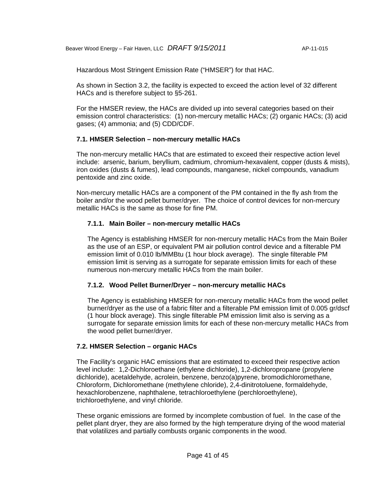Hazardous Most Stringent Emission Rate ("HMSER") for that HAC.

As shown in Section 3.2, the facility is expected to exceed the action level of 32 different HACs and is therefore subject to §5-261.

For the HMSER review, the HACs are divided up into several categories based on their emission control characteristics: (1) non-mercury metallic HACs; (2) organic HACs; (3) acid gases; (4) ammonia; and (5) CDD/CDF.

# **7.1. HMSER Selection – non-mercury metallic HACs**

The non-mercury metallic HACs that are estimated to exceed their respective action level include: arsenic, barium, beryllium, cadmium, chromium-hexavalent, copper (dusts & mists), iron oxides (dusts & fumes), lead compounds, manganese, nickel compounds, vanadium pentoxide and zinc oxide.

Non-mercury metallic HACs are a component of the PM contained in the fly ash from the boiler and/or the wood pellet burner/dryer. The choice of control devices for non-mercury metallic HACs is the same as those for fine PM.

# **7.1.1. Main Boiler – non-mercury metallic HACs**

The Agency is establishing HMSER for non-mercury metallic HACs from the Main Boiler as the use of an ESP, or equivalent PM air pollution control device and a filterable PM emission limit of 0.010 lb/MMBtu (1 hour block average). The single filterable PM emission limit is serving as a surrogate for separate emission limits for each of these numerous non-mercury metallic HACs from the main boiler.

# **7.1.2. Wood Pellet Burner/Dryer – non-mercury metallic HACs**

The Agency is establishing HMSER for non-mercury metallic HACs from the wood pellet burner/dryer as the use of a fabric filter and a filterable PM emission limit of 0.005 gr/dscf (1 hour block average). This single filterable PM emission limit also is serving as a surrogate for separate emission limits for each of these non-mercury metallic HACs from the wood pellet burner/dryer.

#### **7.2. HMSER Selection – organic HACs**

The Facility's organic HAC emissions that are estimated to exceed their respective action level include: 1,2-Dichloroethane (ethylene dichloride), 1,2-dichloropropane (propylene dichloride), acetaldehyde, acrolein, benzene, benzo(a)pyrene, bromodichloromethane, Chloroform, Dichloromethane (methylene chloride), 2,4-dinitrotoluene, formaldehyde, hexachlorobenzene, naphthalene, tetrachloroethylene (perchloroethylene), trichloroethylene, and vinyl chloride.

These organic emissions are formed by incomplete combustion of fuel. In the case of the pellet plant dryer, they are also formed by the high temperature drying of the wood material that volatilizes and partially combusts organic components in the wood.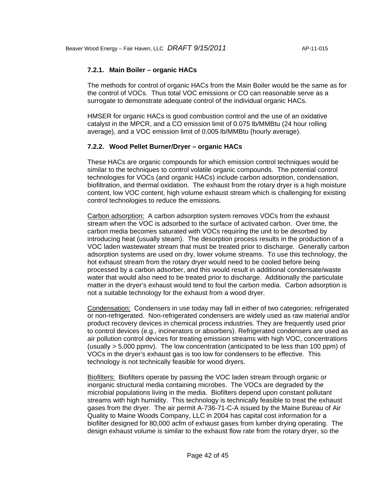# **7.2.1. Main Boiler – organic HACs**

The methods for control of organic HACs from the Main Boiler would be the same as for the control of VOCs. Thus total VOC emissions or CO can reasonable serve as a surrogate to demonstrate adequate control of the individual organic HACs.

HMSER for organic HACs is good combustion control and the use of an oxidative catalyst in the MPCR, and a CO emission limit of 0.075 lb/MMBtu (24 hour rolling average), and a VOC emission limit of 0.005 lb/MMBtu (hourly average).

#### **7.2.2. Wood Pellet Burner/Dryer – organic HACs**

These HACs are organic compounds for which emission control techniques would be similar to the techniques to control volatile organic compounds. The potential control technologies for VOCs (and organic HACs) include carbon adsorption, condensation, biofiltration, and thermal oxidation. The exhaust from the rotary dryer is a high moisture content, low VOC content, high volume exhaust stream which is challenging for existing control technologies to reduce the emissions.

Carbon adsorption: A carbon adsorption system removes VOCs from the exhaust stream when the VOC is adsorbed to the surface of activated carbon. Over time, the carbon media becomes saturated with VOCs requiring the unit to be desorbed by introducing heat (usually steam). The desorption process results in the production of a VOC laden wastewater stream that must be treated prior to discharge. Generally carbon adsorption systems are used on dry, lower volume streams. To use this technology, the hot exhaust stream from the rotary dryer would need to be cooled before being processed by a carbon adsorber, and this would result in additional condensate/waste water that would also need to be treated prior to discharge. Additionally the particulate matter in the dryer's exhaust would tend to foul the carbon media. Carbon adsorption is not a suitable technology for the exhaust from a wood dryer.

Condensation: Condensers in use today may fall in either of two categories: refrigerated or non-refrigerated. Non-refrigerated condensers are widely used as raw material and/or product recovery devices in chemical process industries. They are frequently used prior to control devices (e.g., incinerators or absorbers). Refrigerated condensers are used as air pollution control devices for treating emission streams with high VOC, concentrations (usually > 5,000 ppmv). The low concentration (anticipated to be less than 100 ppm) of VOCs in the dryer's exhaust gas is too low for condensers to be effective. This technology is not technically feasible for wood dryers.

Biofilters: Biofilters operate by passing the VOC laden stream through organic or inorganic structural media containing microbes. The VOCs are degraded by the microbial populations living in the media. Biofilters depend upon constant pollutant streams with high humidity. This technology is technically feasible to treat the exhaust gases from the dryer. The air permit A-736-71-C-A issued by the Maine Bureau of Air Quality to Maine Woods Company, LLC in 2004 has capital cost information for a biofilter designed for 80,000 acfm of exhaust gases from lumber drying operating. The design exhaust volume is similar to the exhaust flow rate from the rotary dryer, so the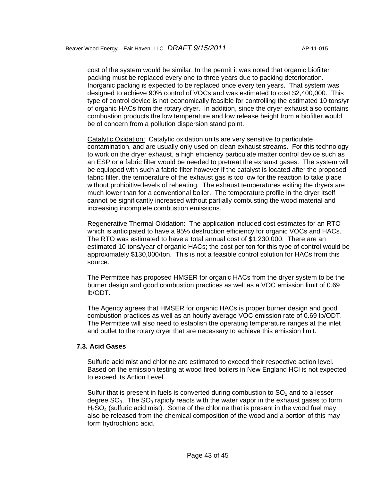cost of the system would be similar. In the permit it was noted that organic biofilter packing must be replaced every one to three years due to packing deterioration. Inorganic packing is expected to be replaced once every ten years. That system was designed to achieve 90% control of VOCs and was estimated to cost \$2,400,000. This type of control device is not economically feasible for controlling the estimated 10 tons/yr of organic HACs from the rotary dryer. In addition, since the dryer exhaust also contains combustion products the low temperature and low release height from a biofilter would be of concern from a pollution dispersion stand point.

Catalytic Oxidation: Catalytic oxidation units are very sensitive to particulate contamination, and are usually only used on clean exhaust streams. For this technology to work on the dryer exhaust, a high efficiency particulate matter control device such as an ESP or a fabric filter would be needed to pretreat the exhaust gases. The system will be equipped with such a fabric filter however if the catalyst is located after the proposed fabric filter, the temperature of the exhaust gas is too low for the reaction to take place without prohibitive levels of reheating. The exhaust temperatures exiting the dryers are much lower than for a conventional boiler. The temperature profile in the dryer itself cannot be significantly increased without partially combusting the wood material and increasing incomplete combustion emissions.

Regenerative Thermal Oxidation: The application included cost estimates for an RTO which is anticipated to have a 95% destruction efficiency for organic VOCs and HACs. The RTO was estimated to have a total annual cost of \$1,230,000. There are an estimated 10 tons/year of organic HACs; the cost per ton for this type of control would be approximately \$130,000/ton. This is not a feasible control solution for HACs from this source.

The Permittee has proposed HMSER for organic HACs from the dryer system to be the burner design and good combustion practices as well as a VOC emission limit of 0.69 lb/ODT.

The Agency agrees that HMSER for organic HACs is proper burner design and good combustion practices as well as an hourly average VOC emission rate of 0.69 lb/ODT. The Permittee will also need to establish the operating temperature ranges at the inlet and outlet to the rotary dryer that are necessary to achieve this emission limit.

#### **7.3. Acid Gases**

Sulfuric acid mist and chlorine are estimated to exceed their respective action level. Based on the emission testing at wood fired boilers in New England HCl is not expected to exceed its Action Level.

Sulfur that is present in fuels is converted during combustion to  $SO<sub>2</sub>$  and to a lesser degree  $SO<sub>3</sub>$ . The  $SO<sub>3</sub>$  rapidly reacts with the water vapor in the exhaust gases to form  $H<sub>2</sub>SO<sub>4</sub>$  (sulfuric acid mist). Some of the chlorine that is present in the wood fuel may also be released from the chemical composition of the wood and a portion of this may form hydrochloric acid.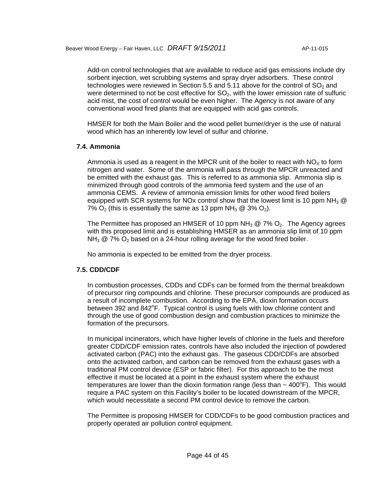Add-on control technologies that are available to reduce acid gas emissions include dry sorbent injection, wet scrubbing systems and spray dryer adsorbers. These control technologies were reviewed in Section 5.5 and 5.11 above for the control of  $SO<sub>2</sub>$  and were determined to not be cost effective for  $SO<sub>2</sub>$ , with the lower emission rate of sulfuric acid mist, the cost of control would be even higher. The Agency is not aware of any conventional wood fired plants that are equipped with acid gas controls.

HMSER for both the Main Boiler and the wood pellet burner/dryer is the use of natural wood which has an inherently low level of sulfur and chlorine.

#### **7.4. Ammonia**

Ammonia is used as a reagent in the MPCR unit of the boiler to react with  $NO<sub>x</sub>$  to form nitrogen and water. Some of the ammonia will pass through the MPCR unreacted and be emitted with the exhaust gas. This is referred to as ammonia slip. Ammonia slip is minimized through good controls of the ammonia feed system and the use of an ammonia CEMS. A review of ammonia emission limits for other wood fired boilers equipped with SCR systems for NOx control show that the lowest limit is 10 ppm NH<sub>3</sub>  $\circledR$ 7%  $O_2$  (this is essentially the same as 13 ppm NH<sub>3</sub> @ 3%  $O_2$ ).

The Permittee has proposed an HMSER of 10 ppm  $NH<sub>3</sub>$  @ 7%  $O<sub>2</sub>$ . The Agency agrees with this proposed limit and is establishing HMSER as an ammonia slip limit of 10 ppm NH<sub>3</sub>  $@$  7%  $O_2$  based on a 24-hour rolling average for the wood fired boiler.

No ammonia is expected to be emitted from the dryer process.

#### **7.5. CDD/CDF**

In combustion processes, CDDs and CDFs can be formed from the thermal breakdown of precursor ring compounds and chlorine. These precursor compounds are produced as a result of incomplete combustion. According to the EPA, dioxin formation occurs between 392 and 842°F. Typical control is using fuels with low chlorine content and through the use of good combustion design and combustion practices to minimize the formation of the precursors.

In municipal incinerators, which have higher levels of chlorine in the fuels and therefore greater CDD/CDF emission rates, controls have also included the injection of powdered activated carbon (PAC) into the exhaust gas. The gaseous CDD/CDFs are absorbed onto the activated carbon, and carbon can be removed from the exhaust gases with a traditional PM control device (ESP or fabric filter). For this approach to be the most effective it must be located at a point in the exhaust system where the exhaust temperatures are lower than the dioxin formation range (less than  $\sim$  400°F). This would require a PAC system on this Facility's boiler to be located downstream of the MPCR, which would necessitate a second PM control device to remove the carbon.

The Permittee is proposing HMSER for CDD/CDFs to be good combustion practices and properly operated air pollution control equipment.